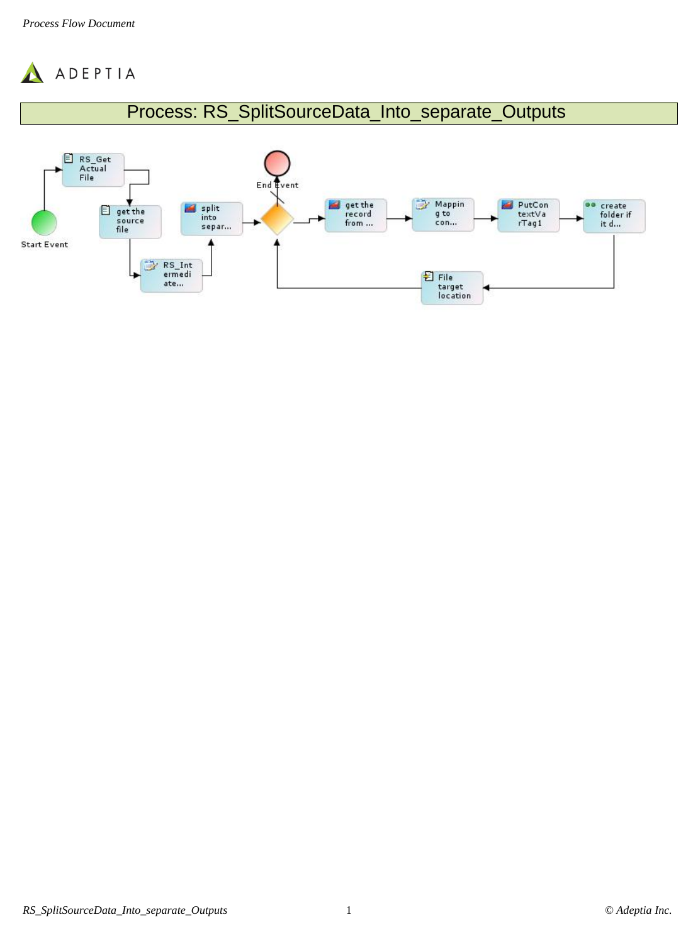

## Process: RS\_SplitSourceData\_Into\_separate\_Outputs

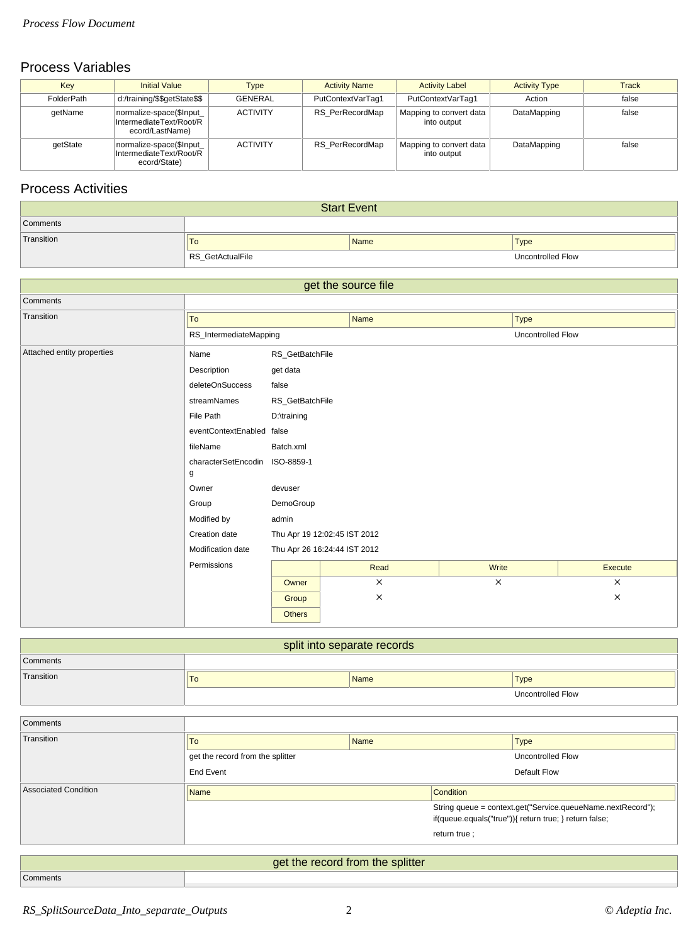## Process Variables

| Key        | <b>Initial Value</b>                                                   | <b>Type</b>     | <b>Activity Name</b> | <b>Activity Label</b>                  | <b>Activity Type</b> | <b>Track</b> |
|------------|------------------------------------------------------------------------|-----------------|----------------------|----------------------------------------|----------------------|--------------|
| FolderPath | d:/training/\$\$getState\$\$                                           | <b>GENERAL</b>  | PutContextVarTag1    | PutContextVarTag1                      | Action               | false        |
| qetName    | normalize-space(\$Input_<br>IntermediateText/Root/R<br>ecord/LastName) | <b>ACTIVITY</b> | RS PerRecordMap      | Mapping to convert data<br>into output | DataMapping          | false        |
| qetState   | normalize-space(\$Input_<br>IntermediateText/Root/R<br>ecord/State)    | <b>ACTIVITY</b> | RS PerRecordMap      | Mapping to convert data<br>into output | DataMapping          | false        |

## Process Activities

| <b>Start Event</b> |                  |             |                   |  |  |  |
|--------------------|------------------|-------------|-------------------|--|--|--|
| Comments           |                  |             |                   |  |  |  |
| Transition         | $\overline{10}$  | <b>Name</b> | Type              |  |  |  |
|                    | RS_GetActualFile |             | Uncontrolled Flow |  |  |  |

| get the source file        |                                |                              |          |          |                   |          |  |  |
|----------------------------|--------------------------------|------------------------------|----------|----------|-------------------|----------|--|--|
| Comments                   |                                |                              |          |          |                   |          |  |  |
| Transition                 | To                             | <b>Name</b>                  |          |          | <b>Type</b>       |          |  |  |
|                            | RS_IntermediateMapping         |                              |          |          | Uncontrolled Flow |          |  |  |
| Attached entity properties | Name                           | RS_GetBatchFile              |          |          |                   |          |  |  |
|                            | Description                    | get data                     |          |          |                   |          |  |  |
|                            | deleteOnSuccess                | false                        |          |          |                   |          |  |  |
|                            | streamNames                    | RS_GetBatchFile              |          |          |                   |          |  |  |
|                            | File Path                      | D:\training                  |          |          |                   |          |  |  |
|                            | eventContextEnabled false      |                              |          |          |                   |          |  |  |
|                            | fileName                       | Batch.xml                    |          |          |                   |          |  |  |
|                            | characterSetEncodin ISO-8859-1 |                              |          |          |                   |          |  |  |
|                            | g                              |                              |          |          |                   |          |  |  |
|                            | Owner                          | devuser                      |          |          |                   |          |  |  |
|                            | Group                          | DemoGroup                    |          |          |                   |          |  |  |
|                            | Modified by                    | admin                        |          |          |                   |          |  |  |
|                            | Creation date                  | Thu Apr 19 12:02:45 IST 2012 |          |          |                   |          |  |  |
|                            | Modification date              | Thu Apr 26 16:24:44 IST 2012 |          |          |                   |          |  |  |
|                            | Permissions                    |                              | Read     | Write    |                   | Execute  |  |  |
|                            |                                | Owner                        | $\times$ | $\times$ |                   | $\times$ |  |  |
|                            |                                | Group                        | $\times$ |          |                   | $\times$ |  |  |
|                            |                                | <b>Others</b>                |          |          |                   |          |  |  |

| split into separate records |    |             |  |                          |  |  |
|-----------------------------|----|-------------|--|--------------------------|--|--|
| Comments                    |    |             |  |                          |  |  |
| Transition                  | 10 | <b>Name</b> |  | Type                     |  |  |
|                             |    |             |  | <b>Uncontrolled Flow</b> |  |  |

| <b>To</b>                        |               | <b>Type</b>                                                                                                           |  |  |  |
|----------------------------------|---------------|-----------------------------------------------------------------------------------------------------------------------|--|--|--|
| get the record from the splitter |               | Uncontrolled Flow                                                                                                     |  |  |  |
| <b>End Event</b>                 |               | Default Flow                                                                                                          |  |  |  |
| <b>Name</b>                      | Condition     |                                                                                                                       |  |  |  |
|                                  |               | String queue = context.get("Service.queueName.nextRecord");<br>if(queue.equals("true")){ return true; } return false; |  |  |  |
|                                  | return true ; |                                                                                                                       |  |  |  |
|                                  |               |                                                                                                                       |  |  |  |
| get the record from the splitter |               |                                                                                                                       |  |  |  |
|                                  |               | <b>Name</b>                                                                                                           |  |  |  |

Comments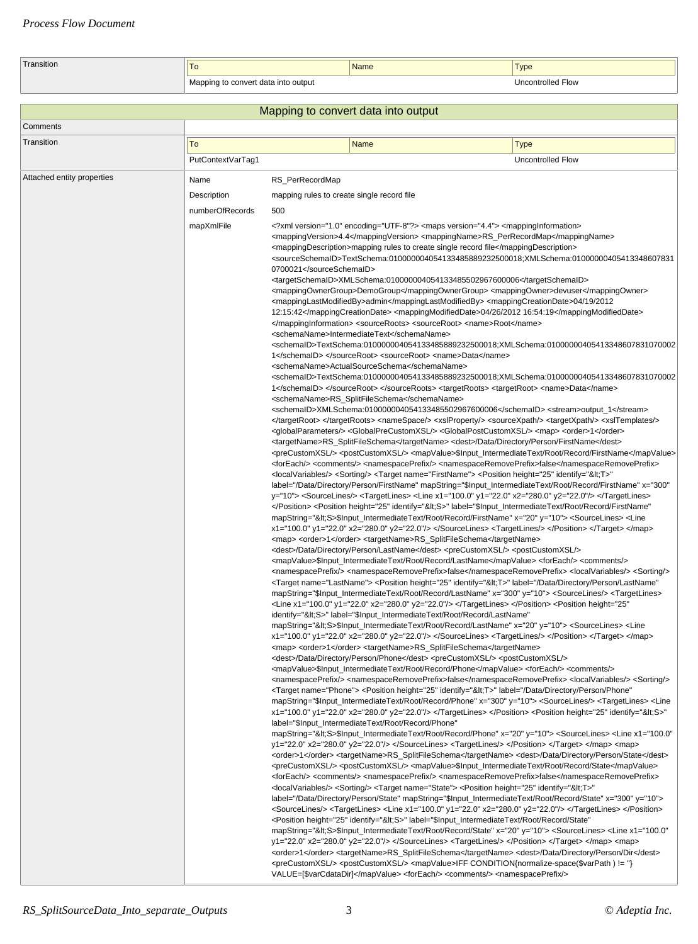| Transition | . .                      | Name | Type              |
|------------|--------------------------|------|-------------------|
|            | convert data into output |      | Uncontrolled Flow |

|                            | Mapping to convert data into output          |                                                                                                                                                                                                                                                                                                                                                                                                                                                                                                                                                                                                                                                                                                                                                                                                                                                                                                                                                                                                                                                                                                                                                                                                                                                                                                                                                                                                                                                                                                                                                                                                                                                                                                                                                                                                                                                                                                                                                                                                                                                                                                                                                                                                                                                                                                                                                                                                                                                                                                                                                                                                                                                                                                                                                                                                                                                                                                                                                                                                                                                                                                                                                                                                                                                                                                                                                                                                                                                                                                                                                                                                                                                                                                                                                                                                                                                                                                                                                                                                                                                                                                                                                                                                                                                                                                                                                                                                                                                                                                                                                                                                                                                                                                                                                                                                                                                                                                                                                                                                                                                                                                                                                                                                                                                                                                                                                                                                                                                                                                                                                                                                                                                                                                                                                                                                                                                                                                                                                                                                                                                                                                                                                                                                                                                                                                                                                 |  |  |  |  |  |
|----------------------------|----------------------------------------------|-------------------------------------------------------------------------------------------------------------------------------------------------------------------------------------------------------------------------------------------------------------------------------------------------------------------------------------------------------------------------------------------------------------------------------------------------------------------------------------------------------------------------------------------------------------------------------------------------------------------------------------------------------------------------------------------------------------------------------------------------------------------------------------------------------------------------------------------------------------------------------------------------------------------------------------------------------------------------------------------------------------------------------------------------------------------------------------------------------------------------------------------------------------------------------------------------------------------------------------------------------------------------------------------------------------------------------------------------------------------------------------------------------------------------------------------------------------------------------------------------------------------------------------------------------------------------------------------------------------------------------------------------------------------------------------------------------------------------------------------------------------------------------------------------------------------------------------------------------------------------------------------------------------------------------------------------------------------------------------------------------------------------------------------------------------------------------------------------------------------------------------------------------------------------------------------------------------------------------------------------------------------------------------------------------------------------------------------------------------------------------------------------------------------------------------------------------------------------------------------------------------------------------------------------------------------------------------------------------------------------------------------------------------------------------------------------------------------------------------------------------------------------------------------------------------------------------------------------------------------------------------------------------------------------------------------------------------------------------------------------------------------------------------------------------------------------------------------------------------------------------------------------------------------------------------------------------------------------------------------------------------------------------------------------------------------------------------------------------------------------------------------------------------------------------------------------------------------------------------------------------------------------------------------------------------------------------------------------------------------------------------------------------------------------------------------------------------------------------------------------------------------------------------------------------------------------------------------------------------------------------------------------------------------------------------------------------------------------------------------------------------------------------------------------------------------------------------------------------------------------------------------------------------------------------------------------------------------------------------------------------------------------------------------------------------------------------------------------------------------------------------------------------------------------------------------------------------------------------------------------------------------------------------------------------------------------------------------------------------------------------------------------------------------------------------------------------------------------------------------------------------------------------------------------------------------------------------------------------------------------------------------------------------------------------------------------------------------------------------------------------------------------------------------------------------------------------------------------------------------------------------------------------------------------------------------------------------------------------------------------------------------------------------------------------------------------------------------------------------------------------------------------------------------------------------------------------------------------------------------------------------------------------------------------------------------------------------------------------------------------------------------------------------------------------------------------------------------------------------------------------------------------------------------------------------------------------------------------------------------------------------------------------------------------------------------------------------------------------------------------------------------------------------------------------------------------------------------------------------------------------------------------------------------------------------------------------------------------------------------------------------------------------------------------------------------------------------------------|--|--|--|--|--|
| Comments                   |                                              |                                                                                                                                                                                                                                                                                                                                                                                                                                                                                                                                                                                                                                                                                                                                                                                                                                                                                                                                                                                                                                                                                                                                                                                                                                                                                                                                                                                                                                                                                                                                                                                                                                                                                                                                                                                                                                                                                                                                                                                                                                                                                                                                                                                                                                                                                                                                                                                                                                                                                                                                                                                                                                                                                                                                                                                                                                                                                                                                                                                                                                                                                                                                                                                                                                                                                                                                                                                                                                                                                                                                                                                                                                                                                                                                                                                                                                                                                                                                                                                                                                                                                                                                                                                                                                                                                                                                                                                                                                                                                                                                                                                                                                                                                                                                                                                                                                                                                                                                                                                                                                                                                                                                                                                                                                                                                                                                                                                                                                                                                                                                                                                                                                                                                                                                                                                                                                                                                                                                                                                                                                                                                                                                                                                                                                                                                                                                                 |  |  |  |  |  |
| Transition                 | To                                           | <b>Name</b><br><b>Type</b>                                                                                                                                                                                                                                                                                                                                                                                                                                                                                                                                                                                                                                                                                                                                                                                                                                                                                                                                                                                                                                                                                                                                                                                                                                                                                                                                                                                                                                                                                                                                                                                                                                                                                                                                                                                                                                                                                                                                                                                                                                                                                                                                                                                                                                                                                                                                                                                                                                                                                                                                                                                                                                                                                                                                                                                                                                                                                                                                                                                                                                                                                                                                                                                                                                                                                                                                                                                                                                                                                                                                                                                                                                                                                                                                                                                                                                                                                                                                                                                                                                                                                                                                                                                                                                                                                                                                                                                                                                                                                                                                                                                                                                                                                                                                                                                                                                                                                                                                                                                                                                                                                                                                                                                                                                                                                                                                                                                                                                                                                                                                                                                                                                                                                                                                                                                                                                                                                                                                                                                                                                                                                                                                                                                                                                                                                                                      |  |  |  |  |  |
|                            | PutContextVarTag1                            | Uncontrolled Flow                                                                                                                                                                                                                                                                                                                                                                                                                                                                                                                                                                                                                                                                                                                                                                                                                                                                                                                                                                                                                                                                                                                                                                                                                                                                                                                                                                                                                                                                                                                                                                                                                                                                                                                                                                                                                                                                                                                                                                                                                                                                                                                                                                                                                                                                                                                                                                                                                                                                                                                                                                                                                                                                                                                                                                                                                                                                                                                                                                                                                                                                                                                                                                                                                                                                                                                                                                                                                                                                                                                                                                                                                                                                                                                                                                                                                                                                                                                                                                                                                                                                                                                                                                                                                                                                                                                                                                                                                                                                                                                                                                                                                                                                                                                                                                                                                                                                                                                                                                                                                                                                                                                                                                                                                                                                                                                                                                                                                                                                                                                                                                                                                                                                                                                                                                                                                                                                                                                                                                                                                                                                                                                                                                                                                                                                                                                               |  |  |  |  |  |
| Attached entity properties | Name                                         | RS_PerRecordMap                                                                                                                                                                                                                                                                                                                                                                                                                                                                                                                                                                                                                                                                                                                                                                                                                                                                                                                                                                                                                                                                                                                                                                                                                                                                                                                                                                                                                                                                                                                                                                                                                                                                                                                                                                                                                                                                                                                                                                                                                                                                                                                                                                                                                                                                                                                                                                                                                                                                                                                                                                                                                                                                                                                                                                                                                                                                                                                                                                                                                                                                                                                                                                                                                                                                                                                                                                                                                                                                                                                                                                                                                                                                                                                                                                                                                                                                                                                                                                                                                                                                                                                                                                                                                                                                                                                                                                                                                                                                                                                                                                                                                                                                                                                                                                                                                                                                                                                                                                                                                                                                                                                                                                                                                                                                                                                                                                                                                                                                                                                                                                                                                                                                                                                                                                                                                                                                                                                                                                                                                                                                                                                                                                                                                                                                                                                                 |  |  |  |  |  |
|                            |                                              |                                                                                                                                                                                                                                                                                                                                                                                                                                                                                                                                                                                                                                                                                                                                                                                                                                                                                                                                                                                                                                                                                                                                                                                                                                                                                                                                                                                                                                                                                                                                                                                                                                                                                                                                                                                                                                                                                                                                                                                                                                                                                                                                                                                                                                                                                                                                                                                                                                                                                                                                                                                                                                                                                                                                                                                                                                                                                                                                                                                                                                                                                                                                                                                                                                                                                                                                                                                                                                                                                                                                                                                                                                                                                                                                                                                                                                                                                                                                                                                                                                                                                                                                                                                                                                                                                                                                                                                                                                                                                                                                                                                                                                                                                                                                                                                                                                                                                                                                                                                                                                                                                                                                                                                                                                                                                                                                                                                                                                                                                                                                                                                                                                                                                                                                                                                                                                                                                                                                                                                                                                                                                                                                                                                                                                                                                                                                                 |  |  |  |  |  |
|                            |                                              |                                                                                                                                                                                                                                                                                                                                                                                                                                                                                                                                                                                                                                                                                                                                                                                                                                                                                                                                                                                                                                                                                                                                                                                                                                                                                                                                                                                                                                                                                                                                                                                                                                                                                                                                                                                                                                                                                                                                                                                                                                                                                                                                                                                                                                                                                                                                                                                                                                                                                                                                                                                                                                                                                                                                                                                                                                                                                                                                                                                                                                                                                                                                                                                                                                                                                                                                                                                                                                                                                                                                                                                                                                                                                                                                                                                                                                                                                                                                                                                                                                                                                                                                                                                                                                                                                                                                                                                                                                                                                                                                                                                                                                                                                                                                                                                                                                                                                                                                                                                                                                                                                                                                                                                                                                                                                                                                                                                                                                                                                                                                                                                                                                                                                                                                                                                                                                                                                                                                                                                                                                                                                                                                                                                                                                                                                                                                                 |  |  |  |  |  |
|                            | Description<br>numberOfRecords<br>mapXmlFile | mapping rules to create single record file<br>500<br>xml version="1.0" encoding="UTF-8"? <maps version="4.4"> <mappinginformation><br/><mappingversion>4.4</mappingversion> <mappingname>RS_PerRecordMap</mappingname><br/><mappingdescription>mapping rules to create single record file</mappingdescription><br/><sourceschemaid>TextSchema:010000004054133485889232500018;XMLSchema:01000000405413348607831<br/>0700021</sourceschemaid><br/><targetschemaid>XMLSchema:010000004054133485502967600006</targetschemaid><br/><mappingownergroup>DemoGroup</mappingownergroup> <mappingowner>devuser</mappingowner><br/><mappinglastmodifiedby>admin</mappinglastmodifiedby> <mappingcreationdate>04/19/2012<br/>12:15:42</mappingcreationdate> <mappingmodifieddate>04/26/2012 16:54:19</mappingmodifieddate><br/></mappinginformation> <sourceroots> <sourceroot> <name>Root</name><br/><schemaname>IntermediateText</schemaname><br/>cschemaID&gt;TextSchema:010000004054133485889232500018;XMLSchema:01000000405413348607831070002<!--<br-->1 </sourceroot> <sourceroot> <name>Data</name><br/><schemaname>ActualSourceSchema</schemaname><br/>cschemaID&gt;TextSchema:010000004054133485889232500018;XMLSchema:01000000405413348607831070002<!--<br-->1 </sourceroot> </sourceroots> <targetroots> <targetroot> <name>Data</name><br/><schemaname>RS_SplitFileSchema</schemaname><br/><schemald>XMLSchema:010000004054133485502967600006</schemald> <stream>output_1</stream><br/></targetroot> </targetroots> <namespace></namespace> <xslproperty></xslproperty> <sourcexpath></sourcexpath> <targetxpath></targetxpath> <xsltemplates></xsltemplates><br/><globalparameters></globalparameters> <globalprecustomxsl></globalprecustomxsl> <globalpostcustomxsl></globalpostcustomxsl> <map> <order>1</order><br/><targetname>RS_SplitFileSchema</targetname> <dest>/Data/Directory/Person/FirstName</dest><br/><precustomxsl></precustomxsl> <postcustomxsl></postcustomxsl> <mapvalue>\$Input_IntermediateText/Root/Record/FirstName</mapvalue><br/><foreach></foreach> <comments></comments> <namespaceprefix></namespaceprefix> <namespaceremoveprefix>false</namespaceremoveprefix><br/><localvariables></localvariables> <sorting></sorting> <target name="FirstName"> <position <br="" height="25" identify="&lt;T&gt;">label="/Data/Directory/Person/FirstName" mapString="\$Input_IntermediateText/Root/Record/FirstName" x="300"<br/>y="10"&gt; <sourcelines></sourcelines> <targetlines> <line x1="100.0" x2="280.0" y1="22.0" y2="22.0"></line> </targetlines><br/></position> <position <br="" height="25" identify="&lt;S&gt;" label="\$Input_IntermediateText/Root/Record/FirstName">mapString="&lt;S&gt;\$Input_IntermediateText/Root/Record/FirstName" x="20" y="10"&gt; <sourcelines> <line<br>x1="100.0" y1="22.0" x2="280.0" y2="22.0"/&gt; </line<br></sourcelines> <targetlines></targetlines> </position> </target> </map><br/><map> <order>1</order> <targetname>RS_SplitFileSchema</targetname><br/><dest>/Data/Directory/Person/LastName</dest> <precustomxsl></precustomxsl> <postcustomxsl></postcustomxsl><br/><mapvalue>\$Input_IntermediateText/Root/Record/LastName</mapvalue> <foreach></foreach> <comments></comments><br/><namespaceprefix></namespaceprefix> <namespaceremoveprefix>false</namespaceremoveprefix> <localvariables></localvariables> <sorting></sorting><br/><target name="LastName"> <position <br="" height="25" identify="&lt;T&gt;" label="/Data/Directory/Person/LastName">mapString="\$Input_IntermediateText/Root/Record/LastName" x="300" y="10"&gt; <sourcelines></sourcelines> <targetlines><br/>-Line x1="100.0" y1="22.0" x2="280.0" y2="22.0"/&gt; </targetlines> </position> <position <="" <br="" height="25">identify="<s>" label="\$Input_IntermediateText/Root/Record/LastName'<br/>mapString="&lt;S&gt;\$Input_IntermediateText/Root/Record/LastName" x="20" y="10"&gt; <sourcelines> <line<br><math>x1="100.0"</math> y1="22.0" x2="280.0" y2="22.0"/&gt; </line<br></sourcelines> <targetlines></targetlines> </s></position> </target> </map><br/><map> <order>1</order> <targetname>RS_SplitFileSchema</targetname><br/><dest>/Data/Directory/Person/Phone</dest> <precustomxsl></precustomxsl> <postcustomxsl></postcustomxsl><br/><mapvalue>\$Input_IntermediateText/Root/Record/Phone</mapvalue> <foreach></foreach> <comments></comments><br/><namespaceprefix></namespaceprefix> <namespaceremoveprefix>false</namespaceremoveprefix> <localvariables></localvariables> <sorting></sorting><br/><target name="Phone"> <position <br="" height="25" identify="&lt;T&gt;" label="/Data/Directory/Person/Phone">mapString="\$Input_IntermediateText/Root/Record/Phone" x="300" y="10"&gt; <sourcelines></sourcelines> <targetlines> <line<br>x1="100.0" y1="22.0" x2="280.0" y2="22.0"/&gt; </line<br></targetlines> </position> <position <br="" height="25" identify="&lt;S&gt;">label="\$Input_IntermediateText/Root/Record/Phone"<br/>mapString="&lt;S&gt;\$Input_IntermediateText/Root/Record/Phone" x="20" y="10"&gt; <sourcelines> <line <br="" x1="100.0">y1="22.0" x2="280.0" y2="22.0"/&gt; </line></sourcelines> <targetlines></targetlines> </position> </target> </map> <map><br/><order>1</order> <targetname>RS_SplitFileSchema</targetname> <dest>/Data/Directory/Person/State</dest><br/><precustomxsl></precustomxsl> <postcustomxsl></postcustomxsl> <mapvalue>\$Input_IntermediateText/Root/Record/State</mapvalue><br/><foreach></foreach> <comments></comments> <namespaceprefix></namespaceprefix> <namespaceremoveprefix>false</namespaceremoveprefix><br/><localvariables></localvariables> <sorting></sorting> <target name="State"> <position <br="" height="25" identify="&lt;T&gt;">label="/Data/Directory/Person/State" mapString="\$Input_IntermediateText/Root/Record/State" x="300" y="10"&gt;<br/><sourcelines></sourcelines> <targetlines> <line x1="100.0" x2="280.0" y1="22.0" y2="22.0"></line> </targetlines> </position><br/><position <br="" height="25" identify="&lt;S&gt;" label="\$Input_IntermediateText/Root/Record/State">mapString="&lt;S&gt;\$Input_IntermediateText/Root/Record/State" x="20" y="10"&gt; <sourcelines> <line <="" th="" x1="100.0"></line></sourcelines></position></target></map></maps> |  |  |  |  |  |
|                            |                                              | y1="22.0" x2="280.0" y2="22.0"/> <targetlines></targetlines> <map><br/><order>1</order> <targetname>RS_SplitFileSchema</targetname> <dest>/Data/Directory/Person/Dir</dest><br/><precustomxsl></precustomxsl> <postcustomxsl></postcustomxsl> <mapvalue>IFF CONDITION{normalize-space(\$varPath ) != "}<br/>VALUE=[\$varCdataDir]</mapvalue> <foreach></foreach> <comments></comments> <namespaceprefix></namespaceprefix></map>                                                                                                                                                                                                                                                                                                                                                                                                                                                                                                                                                                                                                                                                                                                                                                                                                                                                                                                                                                                                                                                                                                                                                                                                                                                                                                                                                                                                                                                                                                                                                                                                                                                                                                                                                                                                                                                                                                                                                                                                                                                                                                                                                                                                                                                                                                                                                                                                                                                                                                                                                                                                                                                                                                                                                                                                                                                                                                                                                                                                                                                                                                                                                                                                                                                                                                                                                                                                                                                                                                                                                                                                                                                                                                                                                                                                                                                                                                                                                                                                                                                                                                                                                                                                                                                                                                                                                                                                                                                                                                                                                                                                                                                                                                                                                                                                                                                                                                                                                                                                                                                                                                                                                                                                                                                                                                                                                                                                                                                                                                                                                                                                                                                                                                                                                                                                                                                                                                                |  |  |  |  |  |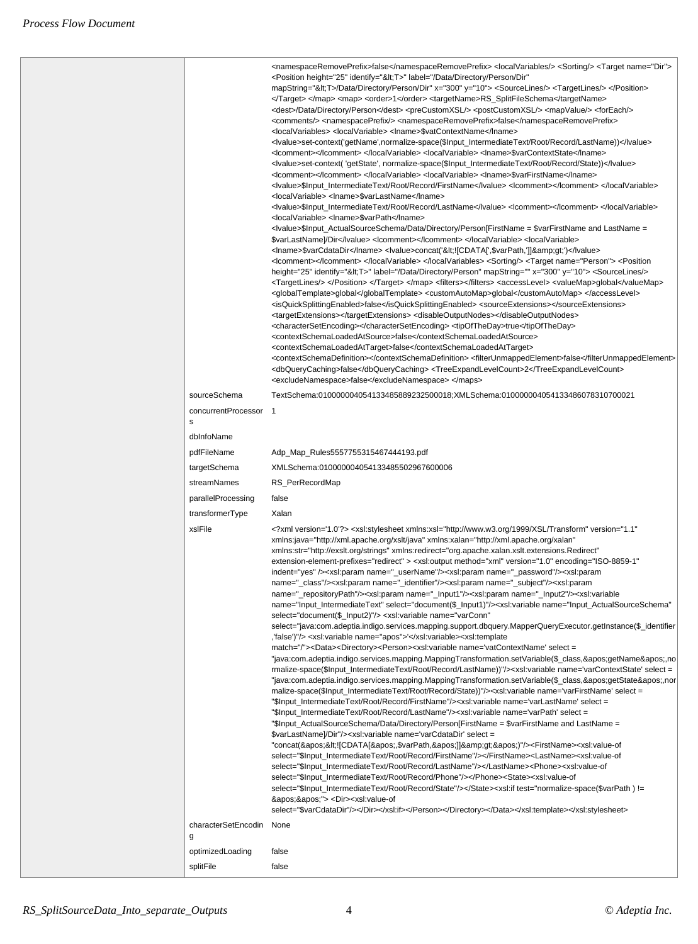|                               | <namespaceremoveprefix>false</namespaceremoveprefix> <localvariables></localvariables> <sorting></sorting> <target name="Dir"><br/><position <br="" height="25" identify="&lt;T&gt;" label="/Data/Directory/Person/Dir">mapString="&lt;T&gt;/Data/Directory/Person/Dir" x="300" y="10"&gt; <sourcelines></sourcelines> <targetlines></targetlines> </position><br/></target> <map> <order>1</order> <targetname>RS_SplitFileSchema</targetname><br/><dest>/Data/Directory/Person</dest> <precustomxsl></precustomxsl> <postcustomxsl></postcustomxsl> <mapvalue></mapvalue> <foreach></foreach><br/><comments></comments> <namespaceprefix></namespaceprefix> <namespaceremoveprefix>false</namespaceremoveprefix><br/><localvariables> <localvariable> <lname>\$vatContextName</lname><br/><lyalue>set-context('getName',normalize-space(\$lnput_IntermediateText/Root/Record/LastName))</lyalue><br/><lcomment></lcomment> </localvariable> <localvariable> <lname>\$varContextState</lname><br/><lyalue>set-context( 'getState', normalize-space(\$Input_IntermediateText/Root/Record/State))</lyalue><br/><lcomment></lcomment> </localvariable> <localvariable> <lname>\$varFirstName</lname><br/>lyalue&gt;\$lnput_IntermediateText/Root/Record/FirstName</localvariable><!--<br--><localvariable> <lname>\$varLastName</lname><br/><lomment></lomment></localvariable><br/><localvariable> <lname>\$varPath</lname><br/><lvalue>\$Input_ActualSourceSchema/Data/Directory/Person[FirstName = \$varFirstName and LastName =<br/>\$varLastName]/Dir</lvalue> <lcomment></lcomment> </localvariable> <localvariable><br/><lname>\$varCdataDir</lname> <lvalue>concat('&lt;![CDATA[',\$varPath,']]&amp;gt;')</lvalue><br/><lcomment></lcomment> </localvariable> </localvariables> <sorting></sorting> <target name="Person"> <position<br>height="25" identify="&lt;T&gt;" label="/Data/Directory/Person" mapString="" x="300" y="10"&gt; <sourcelines></sourcelines><br/><targetlines></targetlines> </position<br></target> </map> <filters></filters> <accesslevel> <valuemap>global</valuemap><br/><globaltemplate>global</globaltemplate> <customautomap>global</customautomap> </accesslevel><br><isquicksplittingenabled>false</isquicksplittingenabled> <sourceextensions></sourceextensions><br><targetextensions></targetextensions> <disableoutputnodes></disableoutputnodes><br><charactersetencoding></charactersetencoding> <tipoftheday>true</tipoftheday><br><contextschemaloadedatsource>false</contextschemaloadedatsource><br><contextschemaloadedattarget>false</contextschemaloadedattarget><br><contextschemadefinition></contextschemadefinition> <filterunmappedelement>false</filterunmappedelement><br><dbquerycaching>false</dbquerycaching> <treeexpandlevelcount>2</treeexpandlevelcount><br><excludenamespace>false</excludenamespace>                                                                                                                                                                          |  |
|-------------------------------|---------------------------------------------------------------------------------------------------------------------------------------------------------------------------------------------------------------------------------------------------------------------------------------------------------------------------------------------------------------------------------------------------------------------------------------------------------------------------------------------------------------------------------------------------------------------------------------------------------------------------------------------------------------------------------------------------------------------------------------------------------------------------------------------------------------------------------------------------------------------------------------------------------------------------------------------------------------------------------------------------------------------------------------------------------------------------------------------------------------------------------------------------------------------------------------------------------------------------------------------------------------------------------------------------------------------------------------------------------------------------------------------------------------------------------------------------------------------------------------------------------------------------------------------------------------------------------------------------------------------------------------------------------------------------------------------------------------------------------------------------------------------------------------------------------------------------------------------------------------------------------------------------------------------------------------------------------------------------------------------------------------------------------------------------------------------------------------------------------------------------------------------------------------------------------------------------------------------------------------------------------------------------------------------------------------------------------------------------------------------------------------------------------------------------------------------------------------------------------------------------------------------------------------------------------------------------------------------------------------------------------------------------------------------------------------------------------------------------------------------------------------------------------------------------------------------------------------------------------------------------------------------------------------------------------------------------------------------------------------------------------------------------------------------------|--|
| sourceSchema                  | TextSchema:010000004054133485889232500018;XMLSchema:010000004054133486078310700021                                                                                                                                                                                                                                                                                                                                                                                                                                                                                                                                                                                                                                                                                                                                                                                                                                                                                                                                                                                                                                                                                                                                                                                                                                                                                                                                                                                                                                                                                                                                                                                                                                                                                                                                                                                                                                                                                                                                                                                                                                                                                                                                                                                                                                                                                                                                                                                                                                                                                                                                                                                                                                                                                                                                                                                                                                                                                                                                                                |  |
| concurrentProcessor<br>s      | $\overline{1}$                                                                                                                                                                                                                                                                                                                                                                                                                                                                                                                                                                                                                                                                                                                                                                                                                                                                                                                                                                                                                                                                                                                                                                                                                                                                                                                                                                                                                                                                                                                                                                                                                                                                                                                                                                                                                                                                                                                                                                                                                                                                                                                                                                                                                                                                                                                                                                                                                                                                                                                                                                                                                                                                                                                                                                                                                                                                                                                                                                                                                                    |  |
| dblnfoName                    |                                                                                                                                                                                                                                                                                                                                                                                                                                                                                                                                                                                                                                                                                                                                                                                                                                                                                                                                                                                                                                                                                                                                                                                                                                                                                                                                                                                                                                                                                                                                                                                                                                                                                                                                                                                                                                                                                                                                                                                                                                                                                                                                                                                                                                                                                                                                                                                                                                                                                                                                                                                                                                                                                                                                                                                                                                                                                                                                                                                                                                                   |  |
| pdfFileName                   | Adp_Map_Rules5557755315467444193.pdf                                                                                                                                                                                                                                                                                                                                                                                                                                                                                                                                                                                                                                                                                                                                                                                                                                                                                                                                                                                                                                                                                                                                                                                                                                                                                                                                                                                                                                                                                                                                                                                                                                                                                                                                                                                                                                                                                                                                                                                                                                                                                                                                                                                                                                                                                                                                                                                                                                                                                                                                                                                                                                                                                                                                                                                                                                                                                                                                                                                                              |  |
| targetSchema                  | XMLSchema:010000004054133485502967600006                                                                                                                                                                                                                                                                                                                                                                                                                                                                                                                                                                                                                                                                                                                                                                                                                                                                                                                                                                                                                                                                                                                                                                                                                                                                                                                                                                                                                                                                                                                                                                                                                                                                                                                                                                                                                                                                                                                                                                                                                                                                                                                                                                                                                                                                                                                                                                                                                                                                                                                                                                                                                                                                                                                                                                                                                                                                                                                                                                                                          |  |
| streamNames                   | RS_PerRecordMap                                                                                                                                                                                                                                                                                                                                                                                                                                                                                                                                                                                                                                                                                                                                                                                                                                                                                                                                                                                                                                                                                                                                                                                                                                                                                                                                                                                                                                                                                                                                                                                                                                                                                                                                                                                                                                                                                                                                                                                                                                                                                                                                                                                                                                                                                                                                                                                                                                                                                                                                                                                                                                                                                                                                                                                                                                                                                                                                                                                                                                   |  |
| parallelProcessing            | false                                                                                                                                                                                                                                                                                                                                                                                                                                                                                                                                                                                                                                                                                                                                                                                                                                                                                                                                                                                                                                                                                                                                                                                                                                                                                                                                                                                                                                                                                                                                                                                                                                                                                                                                                                                                                                                                                                                                                                                                                                                                                                                                                                                                                                                                                                                                                                                                                                                                                                                                                                                                                                                                                                                                                                                                                                                                                                                                                                                                                                             |  |
| transformerType               | Xalan                                                                                                                                                                                                                                                                                                                                                                                                                                                                                                                                                                                                                                                                                                                                                                                                                                                                                                                                                                                                                                                                                                                                                                                                                                                                                                                                                                                                                                                                                                                                                                                                                                                                                                                                                                                                                                                                                                                                                                                                                                                                                                                                                                                                                                                                                                                                                                                                                                                                                                                                                                                                                                                                                                                                                                                                                                                                                                                                                                                                                                             |  |
| xslFile                       | "1.1" erstion='1.0'?> <xsl:stylesheet <br="" http:="" java"="" version="1.1&gt;&lt;br&gt;xmlns:java=" xml.apache.org="" xmlns:xalan="http://xml.apache.org/xalan" xmlns:xsl="http://www.w3.org/1999/XSL/Transform" xslt="">xmlns:str="http://exslt.org/strings" xmlns:redirect="org.apache.xalan.xslt.extensions.Redirect"<br/>extension-element-prefixes="redirect" &gt; <xsl:output <br="" encoding="ISO-8859-1" method="xml" version="1.0">indent="yes" /&gt;<xsl:param name="_userName"></xsl:param><xsl:param name="_password"></xsl:param><xsl:param<br>name="_class"/&gt;<xsl:param name="_identifier"></xsl:param><xsl:param name="_subject"></xsl:param><xsl:param<br>name="_repositoryPath"/&gt;<xsl:param name="_lnput1"></xsl:param><xsl:param name="_lnput2"></xsl:param><xsl:variable<br>name="Input_IntermediateText" select="document(\$_Input1)"/&gt;<xsl:variable <br="" name="Input_ActualSourceSchema">select="document(\$_Input2)"/&gt; <xsl:variable <br="" name="varConn">select="java:com.adeptia.indigo.services.mapping.support.dbquery.MapperQueryExecutor.getInstance(\$_identifier<br/>,'false')"/&gt; <xsl:variable name="apos">'</xsl:variable><xsl:template<br>match="/"&gt;<data><directory><person><xsl:variable name="vatContextName" select="&lt;br">"java:com.adeptia.indigo.services.mapping.MappingTransformation.setVariable(\$_class,'getName',no<br/>rmalize-space(\$Input_IntermediateText/Root/Record/LastName))"/&gt;<xsl:variable name="varContextState" select="&lt;br">"java:com.adeptia.indigo.services.mapping.MappingTransformation.setVariable(\$_class,'getState',nor<br/>malize-space(\$Input_IntermediateText/Root/Record/State))"/&gt;<xsl:variable name="varFirstName" select="&lt;br">"\$Input_IntermediateText/Root/Record/FirstName"/&gt;<xsl:variable name="varLastName" select="&lt;br">"\$Input_IntermediateText/Root/Record/LastName"/&gt;<xsl:variable name="varPath" select="&lt;br">"\$Input_ActualSourceSchema/Data/Directory/Person[FirstName = \$varFirstName and LastName =<br/>\$varLastName]/Dir"/&gt;<xsl:variable name="varCdataDir" select="&lt;br">"concat('&lt;![CDATA[',\$varPath,']]&amp;gt;')"/&gt;<firstname><xsl:value-of<br>select="\$Input_IntermediateText/Root/Record/FirstName"/&gt;</xsl:value-of<br></firstname><lastname><xsl:value-of<br>select="\$lnput_IntermediateText/Root/Record/LastName"/&gt;</xsl:value-of<br></lastname><phone><xsl:value-of<br>select="\$Input_IntermediateText/Root/Record/Phone"/&gt;</xsl:value-of<br></phone><state><xsl:value-of<br>select="\$Input_IntermediateText/Root/Record/State"/&gt;</xsl:value-of<br></state><xsl:if test="normalize-space(\$varPath) !=&lt;br&gt;''"> <dir><xsl:value-of<br>select="\$varCdataDir"/&gt;</xsl:value-of<br></dir></xsl:if></xsl:variable></xsl:variable></xsl:variable></xsl:variable></xsl:variable></xsl:variable></person></directory></data></xsl:template<br></xsl:variable></xsl:variable></xsl:variable<br></xsl:param<br></xsl:param<br></xsl:output></xsl:stylesheet> |  |
| characterSetEncodin None<br>g |                                                                                                                                                                                                                                                                                                                                                                                                                                                                                                                                                                                                                                                                                                                                                                                                                                                                                                                                                                                                                                                                                                                                                                                                                                                                                                                                                                                                                                                                                                                                                                                                                                                                                                                                                                                                                                                                                                                                                                                                                                                                                                                                                                                                                                                                                                                                                                                                                                                                                                                                                                                                                                                                                                                                                                                                                                                                                                                                                                                                                                                   |  |
| optimizedLoading              | false                                                                                                                                                                                                                                                                                                                                                                                                                                                                                                                                                                                                                                                                                                                                                                                                                                                                                                                                                                                                                                                                                                                                                                                                                                                                                                                                                                                                                                                                                                                                                                                                                                                                                                                                                                                                                                                                                                                                                                                                                                                                                                                                                                                                                                                                                                                                                                                                                                                                                                                                                                                                                                                                                                                                                                                                                                                                                                                                                                                                                                             |  |
| splitFile                     | false                                                                                                                                                                                                                                                                                                                                                                                                                                                                                                                                                                                                                                                                                                                                                                                                                                                                                                                                                                                                                                                                                                                                                                                                                                                                                                                                                                                                                                                                                                                                                                                                                                                                                                                                                                                                                                                                                                                                                                                                                                                                                                                                                                                                                                                                                                                                                                                                                                                                                                                                                                                                                                                                                                                                                                                                                                                                                                                                                                                                                                             |  |
|                               |                                                                                                                                                                                                                                                                                                                                                                                                                                                                                                                                                                                                                                                                                                                                                                                                                                                                                                                                                                                                                                                                                                                                                                                                                                                                                                                                                                                                                                                                                                                                                                                                                                                                                                                                                                                                                                                                                                                                                                                                                                                                                                                                                                                                                                                                                                                                                                                                                                                                                                                                                                                                                                                                                                                                                                                                                                                                                                                                                                                                                                                   |  |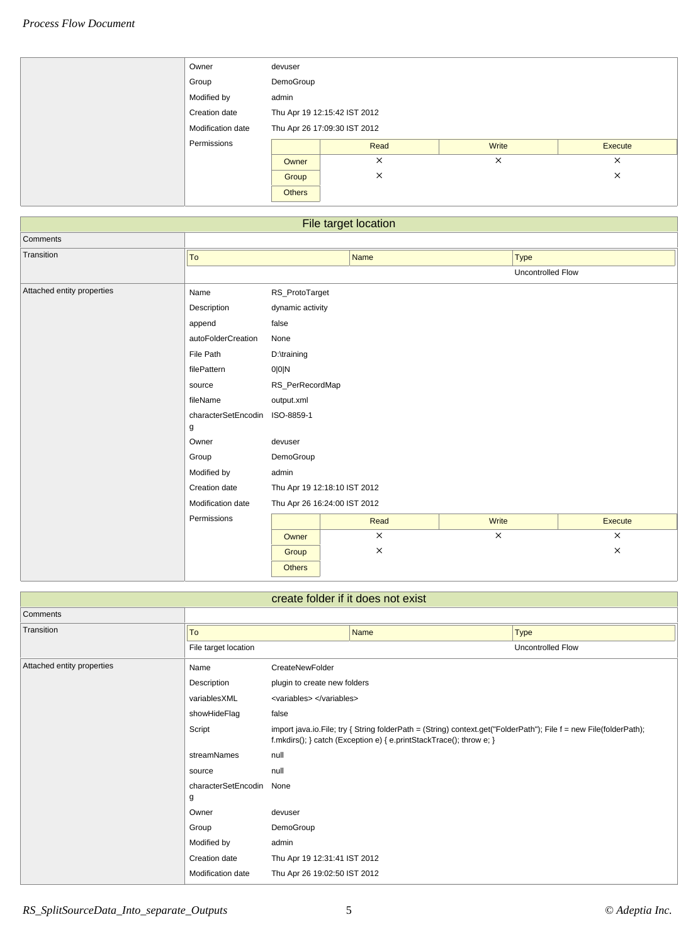| Owner             | devuser                      |          |          |          |  |
|-------------------|------------------------------|----------|----------|----------|--|
| Group             | DemoGroup                    |          |          |          |  |
| Modified by       | admin                        |          |          |          |  |
| Creation date     | Thu Apr 19 12:15:42 IST 2012 |          |          |          |  |
| Modification date | Thu Apr 26 17:09:30 IST 2012 |          |          |          |  |
| Permissions       |                              | Read     | Write    | Execute  |  |
|                   | Owner                        | $\times$ | $\times$ | $\times$ |  |
|                   | Group                        | X        |          | ×        |  |
|                   | <b>Others</b>                |          |          |          |  |

| File target location       |                     |                              |          |             |                   |  |  |  |
|----------------------------|---------------------|------------------------------|----------|-------------|-------------------|--|--|--|
| Comments                   |                     |                              |          |             |                   |  |  |  |
| Transition                 | To                  |                              | Name     | <b>Type</b> |                   |  |  |  |
|                            |                     |                              |          |             | Uncontrolled Flow |  |  |  |
| Attached entity properties | Name                | RS_ProtoTarget               |          |             |                   |  |  |  |
|                            | Description         | dynamic activity             |          |             |                   |  |  |  |
|                            | append              | false                        |          |             |                   |  |  |  |
|                            | autoFolderCreation  | None                         |          |             |                   |  |  |  |
|                            | File Path           | D:\training                  |          |             |                   |  |  |  |
|                            | filePattern         | 0 0 N                        |          |             |                   |  |  |  |
|                            | source              | RS_PerRecordMap              |          |             |                   |  |  |  |
|                            | fileName            |                              |          |             |                   |  |  |  |
|                            | characterSetEncodin | ISO-8859-1                   |          |             |                   |  |  |  |
|                            | g                   |                              |          |             |                   |  |  |  |
|                            | Owner               | devuser                      |          |             |                   |  |  |  |
|                            | Group               | DemoGroup                    |          |             |                   |  |  |  |
|                            | Modified by         | admin                        |          |             |                   |  |  |  |
|                            | Creation date       | Thu Apr 19 12:18:10 IST 2012 |          |             |                   |  |  |  |
|                            | Modification date   | Thu Apr 26 16:24:00 IST 2012 |          |             |                   |  |  |  |
|                            | Permissions         |                              | Read     | Write       | Execute           |  |  |  |
|                            |                     | Owner                        | $\times$ | $\times$    | $\times$          |  |  |  |
|                            |                     | Group                        | $\times$ |             | $\times$          |  |  |  |
|                            |                     | Others                       |          |             |                   |  |  |  |

| create folder if it does not exist |                      |                                                                                                                                                                                              |             |                          |  |  |  |
|------------------------------------|----------------------|----------------------------------------------------------------------------------------------------------------------------------------------------------------------------------------------|-------------|--------------------------|--|--|--|
| Comments                           |                      |                                                                                                                                                                                              |             |                          |  |  |  |
| Transition                         | To                   |                                                                                                                                                                                              | <b>Name</b> | <b>Type</b>              |  |  |  |
|                                    | File target location |                                                                                                                                                                                              |             | <b>Uncontrolled Flow</b> |  |  |  |
| Attached entity properties         | Name                 | CreateNewFolder                                                                                                                                                                              |             |                          |  |  |  |
|                                    | Description          | plugin to create new folders                                                                                                                                                                 |             |                          |  |  |  |
|                                    | variablesXML         | <variables> </variables>                                                                                                                                                                     |             |                          |  |  |  |
|                                    | showHideFlag         | false                                                                                                                                                                                        |             |                          |  |  |  |
|                                    | Script               | import java.io.File; try { String folderPath = $(String)$ context.get("FolderPath"); File $f = new$ File(folderPath);<br>f.mkdirs(); } catch (Exception e) { e.printStackTrace(); throw e; } |             |                          |  |  |  |
|                                    | streamNames          | null                                                                                                                                                                                         |             |                          |  |  |  |
|                                    | source               | null                                                                                                                                                                                         |             |                          |  |  |  |
|                                    | characterSetEncodin  | None                                                                                                                                                                                         |             |                          |  |  |  |
|                                    | g                    |                                                                                                                                                                                              |             |                          |  |  |  |
|                                    | Owner                | devuser                                                                                                                                                                                      |             |                          |  |  |  |
|                                    | Group                | DemoGroup                                                                                                                                                                                    |             |                          |  |  |  |
|                                    | Modified by          | admin                                                                                                                                                                                        |             |                          |  |  |  |
|                                    | Creation date        | Thu Apr 19 12:31:41 IST 2012                                                                                                                                                                 |             |                          |  |  |  |
|                                    | Modification date    | Thu Apr 26 19:02:50 IST 2012                                                                                                                                                                 |             |                          |  |  |  |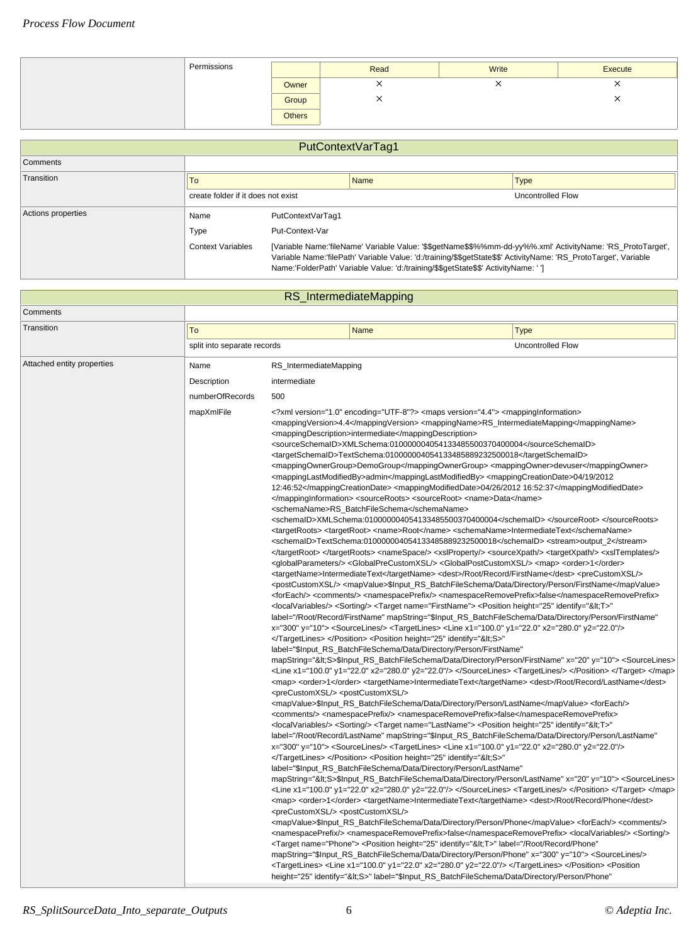| Permissions |               | Read | Write | Execute |
|-------------|---------------|------|-------|---------|
|             | Owner         |      |       | ⌒       |
|             | Group         |      |       |         |
|             | <b>Others</b> |      |       |         |

| PutContextVarTag1  |                                                                                                                                                                                                                                                                                                                                                  |                   |             |                   |  |
|--------------------|--------------------------------------------------------------------------------------------------------------------------------------------------------------------------------------------------------------------------------------------------------------------------------------------------------------------------------------------------|-------------------|-------------|-------------------|--|
| Comments           |                                                                                                                                                                                                                                                                                                                                                  |                   |             |                   |  |
| Transition         | To                                                                                                                                                                                                                                                                                                                                               |                   | <b>Name</b> | <b>Type</b>       |  |
|                    | create folder if it does not exist                                                                                                                                                                                                                                                                                                               |                   |             | Uncontrolled Flow |  |
| Actions properties | Name                                                                                                                                                                                                                                                                                                                                             | PutContextVarTag1 |             |                   |  |
|                    | Type                                                                                                                                                                                                                                                                                                                                             | Put-Context-Var   |             |                   |  |
|                    | [Variable Name:'fileName' Variable Value: '\$\$getName\$\$%%mm-dd-yy%%.xml' ActivityName: 'RS_ProtoTarget',<br><b>Context Variables</b><br>Variable Name:'filePath' Variable Value: 'd:/training/\$\$getState\$\$' ActivityName: 'RS_ProtoTarget', Variable<br>Name:'FolderPath' Variable Value: 'd:/training/\$\$getState\$\$' ActivityName: '] |                   |             |                   |  |

|                            |                             |                                                                                                                                | RS_IntermediateMapping                                                                                                                                                                                                                                                                                                                                                                                                                                                                                                                                                                                                                                                                                                                                                                                                                                                                                                                                                                                                                                                                                                                                                                                                                                                                                                                                                                                                                                                                                                                                                                                                                                                                                                                                                                                                                                                                                                                                                                                                                                                                                                                                                                                                                                                                                                                                                                                                                                                                                                                                                                                                                                                                                                                                                                                                                                                                                                                                                                                                                                                                                                                                                                                                                                                                                                                                                                                                                                                                                                                                                                                                                                                                                                                                                                                                                                                                                                                                                                                                                                                                                                                                                                                                                                                                                                                                                                                                                                                                                                                                                                    |                                                                                                                                                                                                                                                                                                                                                                                                                                                                                                                                                                                                                                                                                                                                                                                                                                                                                                                                                                                                                                                                                                                                                                                                                                                                                                                                                                                                                                                                                                                                                                                                                                                                                                                                                                                                                                                                                                                                                                                                                                                                                                                                                                                                                                                                                                                                                                                                                                                                                                                                                                                                                                                                                                                                                                                                                                                                                                                                                                                                                                                                                                                                                                                                                                                                                                                                                                                                                                                                                                                                                                                                                                                                                                                                                                                                                                                                                                                                                                                                                                                                                                                                                                                                                                                                                                                                       |  |  |
|----------------------------|-----------------------------|--------------------------------------------------------------------------------------------------------------------------------|-------------------------------------------------------------------------------------------------------------------------------------------------------------------------------------------------------------------------------------------------------------------------------------------------------------------------------------------------------------------------------------------------------------------------------------------------------------------------------------------------------------------------------------------------------------------------------------------------------------------------------------------------------------------------------------------------------------------------------------------------------------------------------------------------------------------------------------------------------------------------------------------------------------------------------------------------------------------------------------------------------------------------------------------------------------------------------------------------------------------------------------------------------------------------------------------------------------------------------------------------------------------------------------------------------------------------------------------------------------------------------------------------------------------------------------------------------------------------------------------------------------------------------------------------------------------------------------------------------------------------------------------------------------------------------------------------------------------------------------------------------------------------------------------------------------------------------------------------------------------------------------------------------------------------------------------------------------------------------------------------------------------------------------------------------------------------------------------------------------------------------------------------------------------------------------------------------------------------------------------------------------------------------------------------------------------------------------------------------------------------------------------------------------------------------------------------------------------------------------------------------------------------------------------------------------------------------------------------------------------------------------------------------------------------------------------------------------------------------------------------------------------------------------------------------------------------------------------------------------------------------------------------------------------------------------------------------------------------------------------------------------------------------------------------------------------------------------------------------------------------------------------------------------------------------------------------------------------------------------------------------------------------------------------------------------------------------------------------------------------------------------------------------------------------------------------------------------------------------------------------------------------------------------------------------------------------------------------------------------------------------------------------------------------------------------------------------------------------------------------------------------------------------------------------------------------------------------------------------------------------------------------------------------------------------------------------------------------------------------------------------------------------------------------------------------------------------------------------------------------------------------------------------------------------------------------------------------------------------------------------------------------------------------------------------------------------------------------------------------------------------------------------------------------------------------------------------------------------------------------------------------------------------------------------------------------------------------------|---------------------------------------------------------------------------------------------------------------------------------------------------------------------------------------------------------------------------------------------------------------------------------------------------------------------------------------------------------------------------------------------------------------------------------------------------------------------------------------------------------------------------------------------------------------------------------------------------------------------------------------------------------------------------------------------------------------------------------------------------------------------------------------------------------------------------------------------------------------------------------------------------------------------------------------------------------------------------------------------------------------------------------------------------------------------------------------------------------------------------------------------------------------------------------------------------------------------------------------------------------------------------------------------------------------------------------------------------------------------------------------------------------------------------------------------------------------------------------------------------------------------------------------------------------------------------------------------------------------------------------------------------------------------------------------------------------------------------------------------------------------------------------------------------------------------------------------------------------------------------------------------------------------------------------------------------------------------------------------------------------------------------------------------------------------------------------------------------------------------------------------------------------------------------------------------------------------------------------------------------------------------------------------------------------------------------------------------------------------------------------------------------------------------------------------------------------------------------------------------------------------------------------------------------------------------------------------------------------------------------------------------------------------------------------------------------------------------------------------------------------------------------------------------------------------------------------------------------------------------------------------------------------------------------------------------------------------------------------------------------------------------------------------------------------------------------------------------------------------------------------------------------------------------------------------------------------------------------------------------------------------------------------------------------------------------------------------------------------------------------------------------------------------------------------------------------------------------------------------------------------------------------------------------------------------------------------------------------------------------------------------------------------------------------------------------------------------------------------------------------------------------------------------------------------------------------------------------------------------------------------------------------------------------------------------------------------------------------------------------------------------------------------------------------------------------------------------------------------------------------------------------------------------------------------------------------------------------------------------------------------------------------------------------------------------------------------------|--|--|
| Comments                   |                             |                                                                                                                                |                                                                                                                                                                                                                                                                                                                                                                                                                                                                                                                                                                                                                                                                                                                                                                                                                                                                                                                                                                                                                                                                                                                                                                                                                                                                                                                                                                                                                                                                                                                                                                                                                                                                                                                                                                                                                                                                                                                                                                                                                                                                                                                                                                                                                                                                                                                                                                                                                                                                                                                                                                                                                                                                                                                                                                                                                                                                                                                                                                                                                                                                                                                                                                                                                                                                                                                                                                                                                                                                                                                                                                                                                                                                                                                                                                                                                                                                                                                                                                                                                                                                                                                                                                                                                                                                                                                                                                                                                                                                                                                                                                                           |                                                                                                                                                                                                                                                                                                                                                                                                                                                                                                                                                                                                                                                                                                                                                                                                                                                                                                                                                                                                                                                                                                                                                                                                                                                                                                                                                                                                                                                                                                                                                                                                                                                                                                                                                                                                                                                                                                                                                                                                                                                                                                                                                                                                                                                                                                                                                                                                                                                                                                                                                                                                                                                                                                                                                                                                                                                                                                                                                                                                                                                                                                                                                                                                                                                                                                                                                                                                                                                                                                                                                                                                                                                                                                                                                                                                                                                                                                                                                                                                                                                                                                                                                                                                                                                                                                                                       |  |  |
| Transition                 | To                          |                                                                                                                                | <b>Name</b>                                                                                                                                                                                                                                                                                                                                                                                                                                                                                                                                                                                                                                                                                                                                                                                                                                                                                                                                                                                                                                                                                                                                                                                                                                                                                                                                                                                                                                                                                                                                                                                                                                                                                                                                                                                                                                                                                                                                                                                                                                                                                                                                                                                                                                                                                                                                                                                                                                                                                                                                                                                                                                                                                                                                                                                                                                                                                                                                                                                                                                                                                                                                                                                                                                                                                                                                                                                                                                                                                                                                                                                                                                                                                                                                                                                                                                                                                                                                                                                                                                                                                                                                                                                                                                                                                                                                                                                                                                                                                                                                                                               | <b>Type</b>                                                                                                                                                                                                                                                                                                                                                                                                                                                                                                                                                                                                                                                                                                                                                                                                                                                                                                                                                                                                                                                                                                                                                                                                                                                                                                                                                                                                                                                                                                                                                                                                                                                                                                                                                                                                                                                                                                                                                                                                                                                                                                                                                                                                                                                                                                                                                                                                                                                                                                                                                                                                                                                                                                                                                                                                                                                                                                                                                                                                                                                                                                                                                                                                                                                                                                                                                                                                                                                                                                                                                                                                                                                                                                                                                                                                                                                                                                                                                                                                                                                                                                                                                                                                                                                                                                                           |  |  |
|                            | split into separate records |                                                                                                                                |                                                                                                                                                                                                                                                                                                                                                                                                                                                                                                                                                                                                                                                                                                                                                                                                                                                                                                                                                                                                                                                                                                                                                                                                                                                                                                                                                                                                                                                                                                                                                                                                                                                                                                                                                                                                                                                                                                                                                                                                                                                                                                                                                                                                                                                                                                                                                                                                                                                                                                                                                                                                                                                                                                                                                                                                                                                                                                                                                                                                                                                                                                                                                                                                                                                                                                                                                                                                                                                                                                                                                                                                                                                                                                                                                                                                                                                                                                                                                                                                                                                                                                                                                                                                                                                                                                                                                                                                                                                                                                                                                                                           | <b>Uncontrolled Flow</b>                                                                                                                                                                                                                                                                                                                                                                                                                                                                                                                                                                                                                                                                                                                                                                                                                                                                                                                                                                                                                                                                                                                                                                                                                                                                                                                                                                                                                                                                                                                                                                                                                                                                                                                                                                                                                                                                                                                                                                                                                                                                                                                                                                                                                                                                                                                                                                                                                                                                                                                                                                                                                                                                                                                                                                                                                                                                                                                                                                                                                                                                                                                                                                                                                                                                                                                                                                                                                                                                                                                                                                                                                                                                                                                                                                                                                                                                                                                                                                                                                                                                                                                                                                                                                                                                                                              |  |  |
| Attached entity properties | Name                        | RS_IntermediateMapping                                                                                                         |                                                                                                                                                                                                                                                                                                                                                                                                                                                                                                                                                                                                                                                                                                                                                                                                                                                                                                                                                                                                                                                                                                                                                                                                                                                                                                                                                                                                                                                                                                                                                                                                                                                                                                                                                                                                                                                                                                                                                                                                                                                                                                                                                                                                                                                                                                                                                                                                                                                                                                                                                                                                                                                                                                                                                                                                                                                                                                                                                                                                                                                                                                                                                                                                                                                                                                                                                                                                                                                                                                                                                                                                                                                                                                                                                                                                                                                                                                                                                                                                                                                                                                                                                                                                                                                                                                                                                                                                                                                                                                                                                                                           |                                                                                                                                                                                                                                                                                                                                                                                                                                                                                                                                                                                                                                                                                                                                                                                                                                                                                                                                                                                                                                                                                                                                                                                                                                                                                                                                                                                                                                                                                                                                                                                                                                                                                                                                                                                                                                                                                                                                                                                                                                                                                                                                                                                                                                                                                                                                                                                                                                                                                                                                                                                                                                                                                                                                                                                                                                                                                                                                                                                                                                                                                                                                                                                                                                                                                                                                                                                                                                                                                                                                                                                                                                                                                                                                                                                                                                                                                                                                                                                                                                                                                                                                                                                                                                                                                                                                       |  |  |
|                            | Description                 | intermediate                                                                                                                   |                                                                                                                                                                                                                                                                                                                                                                                                                                                                                                                                                                                                                                                                                                                                                                                                                                                                                                                                                                                                                                                                                                                                                                                                                                                                                                                                                                                                                                                                                                                                                                                                                                                                                                                                                                                                                                                                                                                                                                                                                                                                                                                                                                                                                                                                                                                                                                                                                                                                                                                                                                                                                                                                                                                                                                                                                                                                                                                                                                                                                                                                                                                                                                                                                                                                                                                                                                                                                                                                                                                                                                                                                                                                                                                                                                                                                                                                                                                                                                                                                                                                                                                                                                                                                                                                                                                                                                                                                                                                                                                                                                                           |                                                                                                                                                                                                                                                                                                                                                                                                                                                                                                                                                                                                                                                                                                                                                                                                                                                                                                                                                                                                                                                                                                                                                                                                                                                                                                                                                                                                                                                                                                                                                                                                                                                                                                                                                                                                                                                                                                                                                                                                                                                                                                                                                                                                                                                                                                                                                                                                                                                                                                                                                                                                                                                                                                                                                                                                                                                                                                                                                                                                                                                                                                                                                                                                                                                                                                                                                                                                                                                                                                                                                                                                                                                                                                                                                                                                                                                                                                                                                                                                                                                                                                                                                                                                                                                                                                                                       |  |  |
|                            | numberOfRecords             | 500                                                                                                                            |                                                                                                                                                                                                                                                                                                                                                                                                                                                                                                                                                                                                                                                                                                                                                                                                                                                                                                                                                                                                                                                                                                                                                                                                                                                                                                                                                                                                                                                                                                                                                                                                                                                                                                                                                                                                                                                                                                                                                                                                                                                                                                                                                                                                                                                                                                                                                                                                                                                                                                                                                                                                                                                                                                                                                                                                                                                                                                                                                                                                                                                                                                                                                                                                                                                                                                                                                                                                                                                                                                                                                                                                                                                                                                                                                                                                                                                                                                                                                                                                                                                                                                                                                                                                                                                                                                                                                                                                                                                                                                                                                                                           |                                                                                                                                                                                                                                                                                                                                                                                                                                                                                                                                                                                                                                                                                                                                                                                                                                                                                                                                                                                                                                                                                                                                                                                                                                                                                                                                                                                                                                                                                                                                                                                                                                                                                                                                                                                                                                                                                                                                                                                                                                                                                                                                                                                                                                                                                                                                                                                                                                                                                                                                                                                                                                                                                                                                                                                                                                                                                                                                                                                                                                                                                                                                                                                                                                                                                                                                                                                                                                                                                                                                                                                                                                                                                                                                                                                                                                                                                                                                                                                                                                                                                                                                                                                                                                                                                                                                       |  |  |
|                            | mapXmlFile                  | <precustomxsl></precustomxsl> <postcustomxsl></postcustomxsl><br><precustomxsl></precustomxsl> <postcustomxsl></postcustomxsl> | <mappingdescription>intermediate</mappingdescription><br><schemaname>RS BatchFileSchema</schemaname><br><position <br="" height="25" identify="&lt;S&gt;"> </position> <position <="" height="25" identify="&lt;S&gt;" td=""><td><?xml version="1.0" encoding="UTF-8"?> <maps version="4.4"> <mappinginformation><br/><mappingversion>4.4</mappingversion> <mappingname>RS_IntermediateMapping</mappingname><br/><sourceschemaid>XMLSchema:010000004054133485500370400004</sourceschemaid><br/><targetschemaid>TextSchema:010000004054133485889232500018</targetschemaid><br/><mappingownergroup>DemoGroup</mappingownergroup> <mappingowner>devuser</mappingowner><br/><mappinglastmodifiedby>admin</mappinglastmodifiedby> <mappingcreationdate>04/19/2012<br/>12:46:52</mappingcreationdate> <mappingmodifieddate>04/26/2012 16:52:37</mappingmodifieddate><br/></mappinginformation> <sourceroots> <sourceroot> <name>Data</name><br/><schemaid>XMLSchema:010000004054133485500370400004</schemaid> </sourceroot> </sourceroots><br/><targetroots> <targetroot> <name>Root</name> <schemaname>IntermediateText</schemaname><br/><schemald>TextSchema:010000004054133485889232500018</schemald> <stream>output_2</stream><br/></targetroot> </targetroots> <namespace></namespace> <xslproperty></xslproperty> <sourcexpath></sourcexpath> <targetxpath></targetxpath> <xsltemplates></xsltemplates><br/><globalparameters></globalparameters> <globalprecustomxsl></globalprecustomxsl> <globalpostcustomxsl></globalpostcustomxsl> <map> <order>1</order><br/><targetname>IntermediateText</targetname> <dest>/Root/Record/FirstName</dest> <precustomxsl></precustomxsl><br/><postcustomxsl></postcustomxsl> <mapvalue>\$Input_RS_BatchFileSchema/Data/Directory/Person/FirstName</mapvalue><br/><foreach></foreach> <comments></comments> <namespaceprefix></namespaceprefix> <namespaceremoveprefix>false</namespaceremoveprefix><br/><localvariables></localvariables> <sorting></sorting> <target name="FirstName"> <position <br="" height="25" identify="&lt;T&gt;">label="/Root/Record/FirstName" mapString="\$Input_RS_BatchFileSchema/Data/Directory/Person/FirstName"<br/>x="300" y="10"&gt; <sourcelines></sourcelines> <targetlines> <line x1="100.0" x2="280.0" y1="22.0" y2="22.0"></line><br/>label="\$Input_RS_BatchFileSchema/Data/Directory/Person/FirstName"<br/>mapString="&lt;S&gt;\$Input_RS_BatchFileSchema/Data/Directory/Person/FirstName" x="20" y="10"&gt; <sourcelines><br/><line x1="100.0" x2="280.0" y1="22.0" y2="22.0"></line> </sourcelines> <targetlines></targetlines> </targetlines></position> </target> </map><br/><map> <order>1</order> <targetname>IntermediateText</targetname> <dest>/Root/Record/LastName</dest><br/><mapvalue>\$Input_RS_BatchFileSchema/Data/Directory/Person/LastName</mapvalue> <foreach></foreach><br/><comments></comments> <namespaceprefix></namespaceprefix> <namespaceremoveprefix>false</namespaceremoveprefix><br/><localvariables></localvariables> <sorting></sorting> <target name="LastName"> <position <br="" height="25" identify="&lt;T&gt;">label="/Root/Record/LastName" mapString="\$Input_RS_BatchFileSchema/Data/Directory/Person/LastName"<br/>x="300" y="10"&gt; <sourcelines></sourcelines> <targetlines> <line x1="100.0" x2="280.0" y1="22.0" y2="22.0"></line><br/>label="\$Input RS BatchFileSchema/Data/Directory/Person/LastName"<br/>mapString="&lt;S&gt;\$Input_RS_BatchFileSchema/Data/Directory/Person/LastName" x="20" y="10"&gt; <sourcelines><br/><line x1="100.0" x2="280.0" y1="22.0" y2="22.0"></line> </sourcelines> <targetlines></targetlines> </targetlines></position> </target> </map><br/><map> <order>1</order> <targetname>IntermediateText</targetname> <dest>/Root/Record/Phone</dest><br/><mapvalue>\$Input_RS_BatchFileSchema/Data/Directory/Person/Phone</mapvalue> <foreach></foreach> <comments></comments><br/><namespaceprefix></namespaceprefix> <namespaceremoveprefix>false</namespaceremoveprefix> <localvariables></localvariables> <sorting></sorting><br/><target name="Phone"> <position <br="" height="25" identify="&lt;T&gt;" label="/Root/Record/Phone">mapString="\$Input_RS_BatchFileSchema/Data/Directory/Person/Phone" x="300" y="10"&gt; <sourcelines></sourcelines><br/><targetlines> <line x1="100.0" x2="280.0" y1="22.0" y2="22.0"></line> </targetlines> </position> <position<br>height="25" identify="<s>" label="\$Input RS BatchFileSchema/Data/Directory/Person/Phone"</s></position<br></target></map></maps></td></position> | xml version="1.0" encoding="UTF-8"? <maps version="4.4"> <mappinginformation><br/><mappingversion>4.4</mappingversion> <mappingname>RS_IntermediateMapping</mappingname><br/><sourceschemaid>XMLSchema:010000004054133485500370400004</sourceschemaid><br/><targetschemaid>TextSchema:010000004054133485889232500018</targetschemaid><br/><mappingownergroup>DemoGroup</mappingownergroup> <mappingowner>devuser</mappingowner><br/><mappinglastmodifiedby>admin</mappinglastmodifiedby> <mappingcreationdate>04/19/2012<br/>12:46:52</mappingcreationdate> <mappingmodifieddate>04/26/2012 16:52:37</mappingmodifieddate><br/></mappinginformation> <sourceroots> <sourceroot> <name>Data</name><br/><schemaid>XMLSchema:010000004054133485500370400004</schemaid> </sourceroot> </sourceroots><br/><targetroots> <targetroot> <name>Root</name> <schemaname>IntermediateText</schemaname><br/><schemald>TextSchema:010000004054133485889232500018</schemald> <stream>output_2</stream><br/></targetroot> </targetroots> <namespace></namespace> <xslproperty></xslproperty> <sourcexpath></sourcexpath> <targetxpath></targetxpath> <xsltemplates></xsltemplates><br/><globalparameters></globalparameters> <globalprecustomxsl></globalprecustomxsl> <globalpostcustomxsl></globalpostcustomxsl> <map> <order>1</order><br/><targetname>IntermediateText</targetname> <dest>/Root/Record/FirstName</dest> <precustomxsl></precustomxsl><br/><postcustomxsl></postcustomxsl> <mapvalue>\$Input_RS_BatchFileSchema/Data/Directory/Person/FirstName</mapvalue><br/><foreach></foreach> <comments></comments> <namespaceprefix></namespaceprefix> <namespaceremoveprefix>false</namespaceremoveprefix><br/><localvariables></localvariables> <sorting></sorting> <target name="FirstName"> <position <br="" height="25" identify="&lt;T&gt;">label="/Root/Record/FirstName" mapString="\$Input_RS_BatchFileSchema/Data/Directory/Person/FirstName"<br/>x="300" y="10"&gt; <sourcelines></sourcelines> <targetlines> <line x1="100.0" x2="280.0" y1="22.0" y2="22.0"></line><br/>label="\$Input_RS_BatchFileSchema/Data/Directory/Person/FirstName"<br/>mapString="&lt;S&gt;\$Input_RS_BatchFileSchema/Data/Directory/Person/FirstName" x="20" y="10"&gt; <sourcelines><br/><line x1="100.0" x2="280.0" y1="22.0" y2="22.0"></line> </sourcelines> <targetlines></targetlines> </targetlines></position> </target> </map><br/><map> <order>1</order> <targetname>IntermediateText</targetname> <dest>/Root/Record/LastName</dest><br/><mapvalue>\$Input_RS_BatchFileSchema/Data/Directory/Person/LastName</mapvalue> <foreach></foreach><br/><comments></comments> <namespaceprefix></namespaceprefix> <namespaceremoveprefix>false</namespaceremoveprefix><br/><localvariables></localvariables> <sorting></sorting> <target name="LastName"> <position <br="" height="25" identify="&lt;T&gt;">label="/Root/Record/LastName" mapString="\$Input_RS_BatchFileSchema/Data/Directory/Person/LastName"<br/>x="300" y="10"&gt; <sourcelines></sourcelines> <targetlines> <line x1="100.0" x2="280.0" y1="22.0" y2="22.0"></line><br/>label="\$Input RS BatchFileSchema/Data/Directory/Person/LastName"<br/>mapString="&lt;S&gt;\$Input_RS_BatchFileSchema/Data/Directory/Person/LastName" x="20" y="10"&gt; <sourcelines><br/><line x1="100.0" x2="280.0" y1="22.0" y2="22.0"></line> </sourcelines> <targetlines></targetlines> </targetlines></position> </target> </map><br/><map> <order>1</order> <targetname>IntermediateText</targetname> <dest>/Root/Record/Phone</dest><br/><mapvalue>\$Input_RS_BatchFileSchema/Data/Directory/Person/Phone</mapvalue> <foreach></foreach> <comments></comments><br/><namespaceprefix></namespaceprefix> <namespaceremoveprefix>false</namespaceremoveprefix> <localvariables></localvariables> <sorting></sorting><br/><target name="Phone"> <position <br="" height="25" identify="&lt;T&gt;" label="/Root/Record/Phone">mapString="\$Input_RS_BatchFileSchema/Data/Directory/Person/Phone" x="300" y="10"&gt; <sourcelines></sourcelines><br/><targetlines> <line x1="100.0" x2="280.0" y1="22.0" y2="22.0"></line> </targetlines> </position> <position<br>height="25" identify="<s>" label="\$Input RS BatchFileSchema/Data/Directory/Person/Phone"</s></position<br></target></map></maps> |  |  |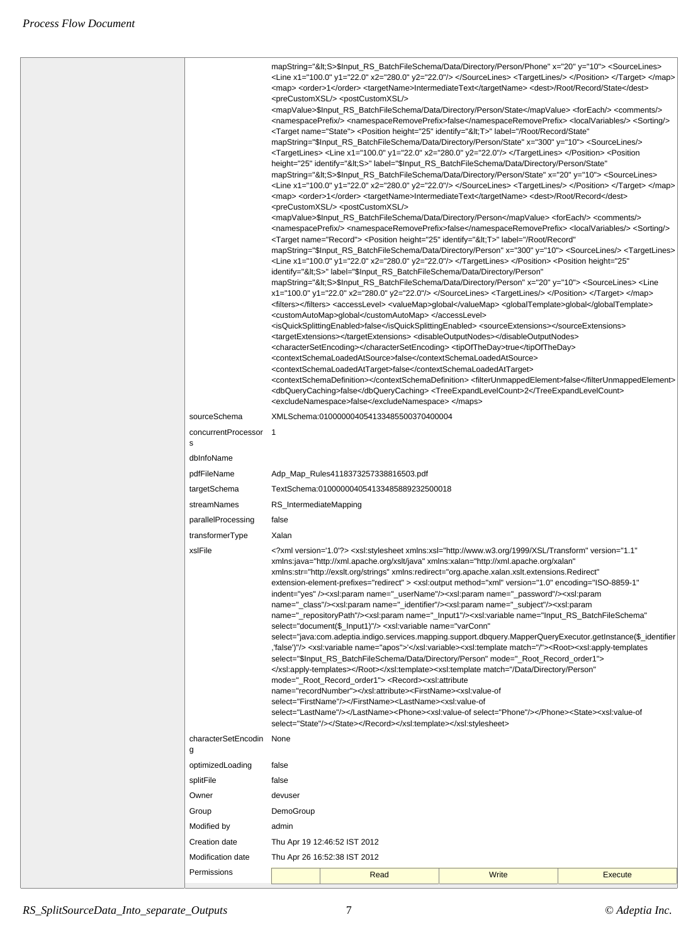|                                       |                                                                                                                                                                                                                                                                                                                                                                                                                                                                                                                                                                                                                                                                                                                                                                                                                                                                                                                                                                                                                                                                                                                                                                                                                                                                                                                                                                                                                                                                                                                                                                                                                                                                                                                                                                                                                                          | mapString="<S>\$Input_RS_BatchFileSchema/Data/Directory/Person/Phone" x="20" y="10"> <sourcelines><br/><line x1="100.0" x2="280.0" y1="22.0" y2="22.0"></line> </sourcelines> <targetlines></targetlines><br><map> <order>1</order> <targetname>IntermediateText</targetname> <dest>/Root/Record/State</dest><br/><precustomxsl></precustomxsl> <postcustomxsl></postcustomxsl><br/><mapvalue>\$Input_RS_BatchFileSchema/Data/Directory/Person/State</mapvalue> <foreach></foreach> <comments></comments><br/><namespaceprefix></namespaceprefix> <namespaceremoveprefix>false</namespaceremoveprefix> <localvariables></localvariables> <sorting></sorting><br/><target name="State"> <position <br="" height="25" identify="&lt;T&gt;" label="/Root/Record/State">mapString="\$Input_RS_BatchFileSchema/Data/Directory/Person/State" x="300" y="10"&gt; <sourcelines></sourcelines><br/>TargetLines&gt; <line x1="100.0" x2="280.0" y1="22.0" y2="22.0"></line> </position> <position<<br>"height="25" identify="<s>" label="\$Input_RS_BatchFileSchema/Data/Directory/Person/State<br/>mapString="&lt;S&gt;\$Input_RS_BatchFileSchema/Data/Directory/Person/State" x="20" y="10"&gt; <sourcelines><br/><line x1="100.0" x2="280.0" y1="22.0" y2="22.0"></line> </sourcelines> <targetlines></targetlines> </s></position<<br></target> </map><br><map> <order>1</order> <targetname>IntermediateText</targetname> <dest>/Root/Record</dest><br/><precustomxsl></precustomxsl> <postcustomxsl></postcustomxsl><br/><mapvalue>\$Input_RS_BatchFileSchema/Data/Directory/Person</mapvalue> <foreach></foreach> <comments></comments><br/><namespaceprefix></namespaceprefix> <namespaceremoveprefix>false</namespaceremoveprefix> <localvariables></localvariables> <sorting></sorting><br/><target name="Record"> <position <br="" height="25" identify="&lt;T&gt;" label="/Root/Record">mapString="\$lnput_RS_BatchFileSchema/Data/Directory/Person" x="300" y="10"&gt; <sourcelines></sourcelines> <targetlines><br/>"kline x1="100.0" y1="22.0" x2="280.0" y2="22.0"/&gt; </targetlines> </position> <position <s="" height="25&gt;&lt;br&gt;identify=">" label="\$Input_RS_BatchFileSchema/Data/Directory/Person"<br/>mapString="&lt;S&gt;\$Input_RS_BatchFileSchema/Data/Directory/Person" x="20" y="10"&gt; <sourcelines> <line<br>x1="100.0" y1="22.0" x2="280.0" y2="22.0"/&gt; </line<br></sourcelines> <targetlines></targetlines> </position> </target> </map><br><filters></filters> <accesslevel> <valuemap>global</valuemap> <globaltemplate>global<customautomap>global</customautomap> </globaltemplate></accesslevel><br><isquicksplittingenabled>false</isquicksplittingenabled> <sourceextensions></sourceextensions><br><targetextensions></targetextensions> <disableoutputnodes></disableoutputnodes><br><charactersetencoding></charactersetencoding> <tipoftheday>true</tipoftheday><br><contextschemaloadedatsource>false</contextschemaloadedatsource><br><contextschemaloadedattarget>false</contextschemaloadedattarget><br><contextschemadefinition></contextschemadefinition> <filterunmappedelement>false</filterunmappedelement><br><dbquerycaching>false</dbquerycaching> <treeexpandlevelcount>2</treeexpandlevelcount><br><excludenamespace>false</excludenamespace> |       |                |  |  |
|---------------------------------------|------------------------------------------------------------------------------------------------------------------------------------------------------------------------------------------------------------------------------------------------------------------------------------------------------------------------------------------------------------------------------------------------------------------------------------------------------------------------------------------------------------------------------------------------------------------------------------------------------------------------------------------------------------------------------------------------------------------------------------------------------------------------------------------------------------------------------------------------------------------------------------------------------------------------------------------------------------------------------------------------------------------------------------------------------------------------------------------------------------------------------------------------------------------------------------------------------------------------------------------------------------------------------------------------------------------------------------------------------------------------------------------------------------------------------------------------------------------------------------------------------------------------------------------------------------------------------------------------------------------------------------------------------------------------------------------------------------------------------------------------------------------------------------------------------------------------------------------|----------------------------------------------------------------------------------------------------------------------------------------------------------------------------------------------------------------------------------------------------------------------------------------------------------------------------------------------------------------------------------------------------------------------------------------------------------------------------------------------------------------------------------------------------------------------------------------------------------------------------------------------------------------------------------------------------------------------------------------------------------------------------------------------------------------------------------------------------------------------------------------------------------------------------------------------------------------------------------------------------------------------------------------------------------------------------------------------------------------------------------------------------------------------------------------------------------------------------------------------------------------------------------------------------------------------------------------------------------------------------------------------------------------------------------------------------------------------------------------------------------------------------------------------------------------------------------------------------------------------------------------------------------------------------------------------------------------------------------------------------------------------------------------------------------------------------------------------------------------------------------------------------------------------------------------------------------------------------------------------------------------------------------------------------------------------------------------------------------------------------------------------------------------------------------------------------------------------------------------------------------------------------------------------------------------------------------------------------------------------------------------------------------------------------------------------------------------------------------------------------------------------------------------------------------------------------------------------------------------------------------------------------------------------------------------------------------------------------------------------------------------------------------------------------------------------------------------------------------------------------------------------------------------------------------------------------------------------------------------------------------------------------------------------------------------------------------------------------------------------------------------------------------------------------------------------------------------------------------------------------------------------------------------------------------|-------|----------------|--|--|
|                                       |                                                                                                                                                                                                                                                                                                                                                                                                                                                                                                                                                                                                                                                                                                                                                                                                                                                                                                                                                                                                                                                                                                                                                                                                                                                                                                                                                                                                                                                                                                                                                                                                                                                                                                                                                                                                                                          |                                                                                                                                                                                                                                                                                                                                                                                                                                                                                                                                                                                                                                                                                                                                                                                                                                                                                                                                                                                                                                                                                                                                                                                                                                                                                                                                                                                                                                                                                                                                                                                                                                                                                                                                                                                                                                                                                                                                                                                                                                                                                                                                                                                                                                                                                                                                                                                                                                                                                                                                                                                                                                                                                                                                                                                                                                                                                                                                                                                                                                                                                                                                                                                                                                                                                                          |       |                |  |  |
| sourceSchema<br>concurrentProcessor 1 |                                                                                                                                                                                                                                                                                                                                                                                                                                                                                                                                                                                                                                                                                                                                                                                                                                                                                                                                                                                                                                                                                                                                                                                                                                                                                                                                                                                                                                                                                                                                                                                                                                                                                                                                                                                                                                          | XMLSchema:010000004054133485500370400004                                                                                                                                                                                                                                                                                                                                                                                                                                                                                                                                                                                                                                                                                                                                                                                                                                                                                                                                                                                                                                                                                                                                                                                                                                                                                                                                                                                                                                                                                                                                                                                                                                                                                                                                                                                                                                                                                                                                                                                                                                                                                                                                                                                                                                                                                                                                                                                                                                                                                                                                                                                                                                                                                                                                                                                                                                                                                                                                                                                                                                                                                                                                                                                                                                                                 |       |                |  |  |
| s                                     |                                                                                                                                                                                                                                                                                                                                                                                                                                                                                                                                                                                                                                                                                                                                                                                                                                                                                                                                                                                                                                                                                                                                                                                                                                                                                                                                                                                                                                                                                                                                                                                                                                                                                                                                                                                                                                          |                                                                                                                                                                                                                                                                                                                                                                                                                                                                                                                                                                                                                                                                                                                                                                                                                                                                                                                                                                                                                                                                                                                                                                                                                                                                                                                                                                                                                                                                                                                                                                                                                                                                                                                                                                                                                                                                                                                                                                                                                                                                                                                                                                                                                                                                                                                                                                                                                                                                                                                                                                                                                                                                                                                                                                                                                                                                                                                                                                                                                                                                                                                                                                                                                                                                                                          |       |                |  |  |
| dblnfoName                            |                                                                                                                                                                                                                                                                                                                                                                                                                                                                                                                                                                                                                                                                                                                                                                                                                                                                                                                                                                                                                                                                                                                                                                                                                                                                                                                                                                                                                                                                                                                                                                                                                                                                                                                                                                                                                                          |                                                                                                                                                                                                                                                                                                                                                                                                                                                                                                                                                                                                                                                                                                                                                                                                                                                                                                                                                                                                                                                                                                                                                                                                                                                                                                                                                                                                                                                                                                                                                                                                                                                                                                                                                                                                                                                                                                                                                                                                                                                                                                                                                                                                                                                                                                                                                                                                                                                                                                                                                                                                                                                                                                                                                                                                                                                                                                                                                                                                                                                                                                                                                                                                                                                                                                          |       |                |  |  |
| pdfFileName                           |                                                                                                                                                                                                                                                                                                                                                                                                                                                                                                                                                                                                                                                                                                                                                                                                                                                                                                                                                                                                                                                                                                                                                                                                                                                                                                                                                                                                                                                                                                                                                                                                                                                                                                                                                                                                                                          | Adp_Map_Rules4118373257338816503.pdf                                                                                                                                                                                                                                                                                                                                                                                                                                                                                                                                                                                                                                                                                                                                                                                                                                                                                                                                                                                                                                                                                                                                                                                                                                                                                                                                                                                                                                                                                                                                                                                                                                                                                                                                                                                                                                                                                                                                                                                                                                                                                                                                                                                                                                                                                                                                                                                                                                                                                                                                                                                                                                                                                                                                                                                                                                                                                                                                                                                                                                                                                                                                                                                                                                                                     |       |                |  |  |
| targetSchema                          | TextSchema:010000004054133485889232500018                                                                                                                                                                                                                                                                                                                                                                                                                                                                                                                                                                                                                                                                                                                                                                                                                                                                                                                                                                                                                                                                                                                                                                                                                                                                                                                                                                                                                                                                                                                                                                                                                                                                                                                                                                                                |                                                                                                                                                                                                                                                                                                                                                                                                                                                                                                                                                                                                                                                                                                                                                                                                                                                                                                                                                                                                                                                                                                                                                                                                                                                                                                                                                                                                                                                                                                                                                                                                                                                                                                                                                                                                                                                                                                                                                                                                                                                                                                                                                                                                                                                                                                                                                                                                                                                                                                                                                                                                                                                                                                                                                                                                                                                                                                                                                                                                                                                                                                                                                                                                                                                                                                          |       |                |  |  |
| streamNames                           |                                                                                                                                                                                                                                                                                                                                                                                                                                                                                                                                                                                                                                                                                                                                                                                                                                                                                                                                                                                                                                                                                                                                                                                                                                                                                                                                                                                                                                                                                                                                                                                                                                                                                                                                                                                                                                          | RS_IntermediateMapping                                                                                                                                                                                                                                                                                                                                                                                                                                                                                                                                                                                                                                                                                                                                                                                                                                                                                                                                                                                                                                                                                                                                                                                                                                                                                                                                                                                                                                                                                                                                                                                                                                                                                                                                                                                                                                                                                                                                                                                                                                                                                                                                                                                                                                                                                                                                                                                                                                                                                                                                                                                                                                                                                                                                                                                                                                                                                                                                                                                                                                                                                                                                                                                                                                                                                   |       |                |  |  |
| parallelProcessing                    | false                                                                                                                                                                                                                                                                                                                                                                                                                                                                                                                                                                                                                                                                                                                                                                                                                                                                                                                                                                                                                                                                                                                                                                                                                                                                                                                                                                                                                                                                                                                                                                                                                                                                                                                                                                                                                                    |                                                                                                                                                                                                                                                                                                                                                                                                                                                                                                                                                                                                                                                                                                                                                                                                                                                                                                                                                                                                                                                                                                                                                                                                                                                                                                                                                                                                                                                                                                                                                                                                                                                                                                                                                                                                                                                                                                                                                                                                                                                                                                                                                                                                                                                                                                                                                                                                                                                                                                                                                                                                                                                                                                                                                                                                                                                                                                                                                                                                                                                                                                                                                                                                                                                                                                          |       |                |  |  |
| transformerType                       | Xalan                                                                                                                                                                                                                                                                                                                                                                                                                                                                                                                                                                                                                                                                                                                                                                                                                                                                                                                                                                                                                                                                                                                                                                                                                                                                                                                                                                                                                                                                                                                                                                                                                                                                                                                                                                                                                                    |                                                                                                                                                                                                                                                                                                                                                                                                                                                                                                                                                                                                                                                                                                                                                                                                                                                                                                                                                                                                                                                                                                                                                                                                                                                                                                                                                                                                                                                                                                                                                                                                                                                                                                                                                                                                                                                                                                                                                                                                                                                                                                                                                                                                                                                                                                                                                                                                                                                                                                                                                                                                                                                                                                                                                                                                                                                                                                                                                                                                                                                                                                                                                                                                                                                                                                          |       |                |  |  |
| xslFile                               | "1.1"systeml version='1.0'?> <xsl:stylesheet <br="" http:="" java"="" version="1.1&lt;br&gt;xmlns:java=" xml.apache.org="" xmlns:xalan="http://xml.apache.org/xalan" xmlns:xsl="http://www.w3.org/1999/XSL/Transform" xslt="">xmlns:str="http://exslt.org/strings" xmlns:redirect="org.apache.xalan.xslt.extensions.Redirect"<br/>"extension-element-prefixes="redirect" &gt; <xsl:output encoding="ISO-8859-1&lt;br&gt;indent=" method="xml" version="1.0" yes"=""></xsl:output><xsl:param name=" userName"></xsl:param><xsl:param name=" password"></xsl:param><xsl:param<br>name="_class"/&gt;<xsl:param name="_identifier"></xsl:param><xsl:param name="_subject"></xsl:param><xsl:param<br>"name="_repositoryPath"/&gt;<xsl:param name="_Input1"></xsl:param><xsl:variable document(\$_lnput1)"="" name="Input_RS_BatchFileSchema&lt;br&gt;select="></xsl:variable> <xsl:variable <br="" name="varConn">select="java:com.adeptia.indigo.services.mapping.support.dbquery.MapperQueryExecutor.getInstance(\$_identifier<br/>false')"/&gt; <xsl:variable name="apos">'</xsl:variable><xsl:template match="/"><root><xsl:apply-templates,<br>select="\$Input RS BatchFileSchema/Data/Directory/Person" mode=" Root Record order1"&gt;<br/></xsl:apply-templates,<br></root></xsl:template><xsl:template <br="" match="/Data/Directory/Person">mode="_Root_Record_order1"&gt; <record><xsl:attribute<br>name="recordNumber"&gt;<firstname><xsl:value-of<br>select="FirstName"/&gt;</xsl:value-of<br></firstname><lastname><xsl:value-of<br>select="LastName"/&gt;</xsl:value-of<br></lastname><phone><xsl:value-of select="Phone"></xsl:value-of></phone><state><xsl:value-of<br>select="State"/&gt;</xsl:value-of<br></state></xsl:attribute<br></record></xsl:template></xsl:variable></xsl:param<br></xsl:param<br></xsl:stylesheet> |                                                                                                                                                                                                                                                                                                                                                                                                                                                                                                                                                                                                                                                                                                                                                                                                                                                                                                                                                                                                                                                                                                                                                                                                                                                                                                                                                                                                                                                                                                                                                                                                                                                                                                                                                                                                                                                                                                                                                                                                                                                                                                                                                                                                                                                                                                                                                                                                                                                                                                                                                                                                                                                                                                                                                                                                                                                                                                                                                                                                                                                                                                                                                                                                                                                                                                          |       |                |  |  |
| characterSetEncodin<br>g              | None                                                                                                                                                                                                                                                                                                                                                                                                                                                                                                                                                                                                                                                                                                                                                                                                                                                                                                                                                                                                                                                                                                                                                                                                                                                                                                                                                                                                                                                                                                                                                                                                                                                                                                                                                                                                                                     |                                                                                                                                                                                                                                                                                                                                                                                                                                                                                                                                                                                                                                                                                                                                                                                                                                                                                                                                                                                                                                                                                                                                                                                                                                                                                                                                                                                                                                                                                                                                                                                                                                                                                                                                                                                                                                                                                                                                                                                                                                                                                                                                                                                                                                                                                                                                                                                                                                                                                                                                                                                                                                                                                                                                                                                                                                                                                                                                                                                                                                                                                                                                                                                                                                                                                                          |       |                |  |  |
| optimizedLoading                      | false                                                                                                                                                                                                                                                                                                                                                                                                                                                                                                                                                                                                                                                                                                                                                                                                                                                                                                                                                                                                                                                                                                                                                                                                                                                                                                                                                                                                                                                                                                                                                                                                                                                                                                                                                                                                                                    |                                                                                                                                                                                                                                                                                                                                                                                                                                                                                                                                                                                                                                                                                                                                                                                                                                                                                                                                                                                                                                                                                                                                                                                                                                                                                                                                                                                                                                                                                                                                                                                                                                                                                                                                                                                                                                                                                                                                                                                                                                                                                                                                                                                                                                                                                                                                                                                                                                                                                                                                                                                                                                                                                                                                                                                                                                                                                                                                                                                                                                                                                                                                                                                                                                                                                                          |       |                |  |  |
| splitFile                             | false                                                                                                                                                                                                                                                                                                                                                                                                                                                                                                                                                                                                                                                                                                                                                                                                                                                                                                                                                                                                                                                                                                                                                                                                                                                                                                                                                                                                                                                                                                                                                                                                                                                                                                                                                                                                                                    |                                                                                                                                                                                                                                                                                                                                                                                                                                                                                                                                                                                                                                                                                                                                                                                                                                                                                                                                                                                                                                                                                                                                                                                                                                                                                                                                                                                                                                                                                                                                                                                                                                                                                                                                                                                                                                                                                                                                                                                                                                                                                                                                                                                                                                                                                                                                                                                                                                                                                                                                                                                                                                                                                                                                                                                                                                                                                                                                                                                                                                                                                                                                                                                                                                                                                                          |       |                |  |  |
| Owner                                 |                                                                                                                                                                                                                                                                                                                                                                                                                                                                                                                                                                                                                                                                                                                                                                                                                                                                                                                                                                                                                                                                                                                                                                                                                                                                                                                                                                                                                                                                                                                                                                                                                                                                                                                                                                                                                                          |                                                                                                                                                                                                                                                                                                                                                                                                                                                                                                                                                                                                                                                                                                                                                                                                                                                                                                                                                                                                                                                                                                                                                                                                                                                                                                                                                                                                                                                                                                                                                                                                                                                                                                                                                                                                                                                                                                                                                                                                                                                                                                                                                                                                                                                                                                                                                                                                                                                                                                                                                                                                                                                                                                                                                                                                                                                                                                                                                                                                                                                                                                                                                                                                                                                                                                          |       |                |  |  |
|                                       |                                                                                                                                                                                                                                                                                                                                                                                                                                                                                                                                                                                                                                                                                                                                                                                                                                                                                                                                                                                                                                                                                                                                                                                                                                                                                                                                                                                                                                                                                                                                                                                                                                                                                                                                                                                                                                          | devuser                                                                                                                                                                                                                                                                                                                                                                                                                                                                                                                                                                                                                                                                                                                                                                                                                                                                                                                                                                                                                                                                                                                                                                                                                                                                                                                                                                                                                                                                                                                                                                                                                                                                                                                                                                                                                                                                                                                                                                                                                                                                                                                                                                                                                                                                                                                                                                                                                                                                                                                                                                                                                                                                                                                                                                                                                                                                                                                                                                                                                                                                                                                                                                                                                                                                                                  |       |                |  |  |
| Group                                 | DemoGroup                                                                                                                                                                                                                                                                                                                                                                                                                                                                                                                                                                                                                                                                                                                                                                                                                                                                                                                                                                                                                                                                                                                                                                                                                                                                                                                                                                                                                                                                                                                                                                                                                                                                                                                                                                                                                                |                                                                                                                                                                                                                                                                                                                                                                                                                                                                                                                                                                                                                                                                                                                                                                                                                                                                                                                                                                                                                                                                                                                                                                                                                                                                                                                                                                                                                                                                                                                                                                                                                                                                                                                                                                                                                                                                                                                                                                                                                                                                                                                                                                                                                                                                                                                                                                                                                                                                                                                                                                                                                                                                                                                                                                                                                                                                                                                                                                                                                                                                                                                                                                                                                                                                                                          |       |                |  |  |
| Modified by                           | admin                                                                                                                                                                                                                                                                                                                                                                                                                                                                                                                                                                                                                                                                                                                                                                                                                                                                                                                                                                                                                                                                                                                                                                                                                                                                                                                                                                                                                                                                                                                                                                                                                                                                                                                                                                                                                                    |                                                                                                                                                                                                                                                                                                                                                                                                                                                                                                                                                                                                                                                                                                                                                                                                                                                                                                                                                                                                                                                                                                                                                                                                                                                                                                                                                                                                                                                                                                                                                                                                                                                                                                                                                                                                                                                                                                                                                                                                                                                                                                                                                                                                                                                                                                                                                                                                                                                                                                                                                                                                                                                                                                                                                                                                                                                                                                                                                                                                                                                                                                                                                                                                                                                                                                          |       |                |  |  |
| Creation date                         | Thu Apr 19 12:46:52 IST 2012                                                                                                                                                                                                                                                                                                                                                                                                                                                                                                                                                                                                                                                                                                                                                                                                                                                                                                                                                                                                                                                                                                                                                                                                                                                                                                                                                                                                                                                                                                                                                                                                                                                                                                                                                                                                             |                                                                                                                                                                                                                                                                                                                                                                                                                                                                                                                                                                                                                                                                                                                                                                                                                                                                                                                                                                                                                                                                                                                                                                                                                                                                                                                                                                                                                                                                                                                                                                                                                                                                                                                                                                                                                                                                                                                                                                                                                                                                                                                                                                                                                                                                                                                                                                                                                                                                                                                                                                                                                                                                                                                                                                                                                                                                                                                                                                                                                                                                                                                                                                                                                                                                                                          |       |                |  |  |
| Modification date                     | Thu Apr 26 16:52:38 IST 2012                                                                                                                                                                                                                                                                                                                                                                                                                                                                                                                                                                                                                                                                                                                                                                                                                                                                                                                                                                                                                                                                                                                                                                                                                                                                                                                                                                                                                                                                                                                                                                                                                                                                                                                                                                                                             |                                                                                                                                                                                                                                                                                                                                                                                                                                                                                                                                                                                                                                                                                                                                                                                                                                                                                                                                                                                                                                                                                                                                                                                                                                                                                                                                                                                                                                                                                                                                                                                                                                                                                                                                                                                                                                                                                                                                                                                                                                                                                                                                                                                                                                                                                                                                                                                                                                                                                                                                                                                                                                                                                                                                                                                                                                                                                                                                                                                                                                                                                                                                                                                                                                                                                                          |       |                |  |  |
| Permissions                           |                                                                                                                                                                                                                                                                                                                                                                                                                                                                                                                                                                                                                                                                                                                                                                                                                                                                                                                                                                                                                                                                                                                                                                                                                                                                                                                                                                                                                                                                                                                                                                                                                                                                                                                                                                                                                                          | Read                                                                                                                                                                                                                                                                                                                                                                                                                                                                                                                                                                                                                                                                                                                                                                                                                                                                                                                                                                                                                                                                                                                                                                                                                                                                                                                                                                                                                                                                                                                                                                                                                                                                                                                                                                                                                                                                                                                                                                                                                                                                                                                                                                                                                                                                                                                                                                                                                                                                                                                                                                                                                                                                                                                                                                                                                                                                                                                                                                                                                                                                                                                                                                                                                                                                                                     | Write | <b>Execute</b> |  |  |
|                                       |                                                                                                                                                                                                                                                                                                                                                                                                                                                                                                                                                                                                                                                                                                                                                                                                                                                                                                                                                                                                                                                                                                                                                                                                                                                                                                                                                                                                                                                                                                                                                                                                                                                                                                                                                                                                                                          |                                                                                                                                                                                                                                                                                                                                                                                                                                                                                                                                                                                                                                                                                                                                                                                                                                                                                                                                                                                                                                                                                                                                                                                                                                                                                                                                                                                                                                                                                                                                                                                                                                                                                                                                                                                                                                                                                                                                                                                                                                                                                                                                                                                                                                                                                                                                                                                                                                                                                                                                                                                                                                                                                                                                                                                                                                                                                                                                                                                                                                                                                                                                                                                                                                                                                                          |       |                |  |  |